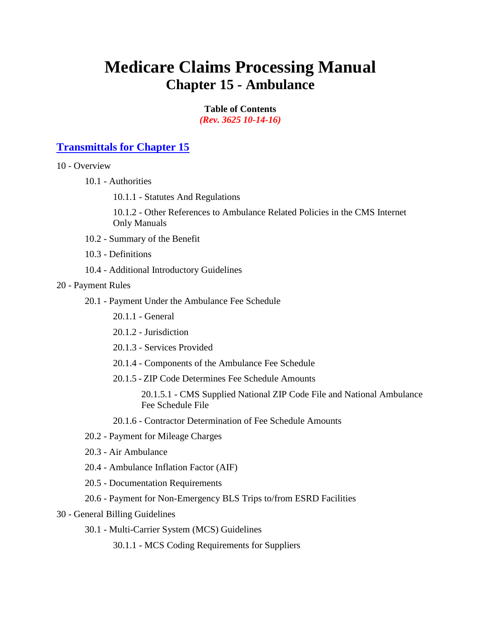# <span id="page-0-0"></span>**Medicare Claims Processing Manual Chapter 15 - Ambulance**

#### **Table of Contents**

*(Rev. 3625 10-14-16)*

## **[Transmittals for Chapter 15](#page-46-0)**

10 - [Overview](#page-2-0)

10.1 - [Authorities](#page-2-1)

10.1.1 - [Statutes And Regulations](#page-2-2)

10.1.2 - [Other References to Ambulance Related Policies in the CMS Internet](#page-2-3)  [Only Manuals](#page-2-3)

- 10.2 [Summary of the Benefit](#page-2-4)
- 10.3 [Definitions](#page-3-0)
- 10.4 [Additional Introductory Guidelines](#page-4-0)
- 20 [Payment Rules](#page-6-0)
	- 20.1 [Payment Under the Ambulance Fee Schedule](#page-6-1)
		- 20.1.1 [General](#page-6-2)
		- 20.1.2 [Jurisdiction](#page-7-0)
		- 20.1.3 [Services Provided](#page-7-1)
		- 20.1.4 [Components of the Ambulance Fee Schedule](#page-7-2)
		- 20.1.5 [ZIP Code Determines Fee Schedule Amounts](#page-14-0)

20.1.5.1 - [CMS Supplied National ZIP Code File and National Ambulance](#page-16-0)  [Fee Schedule File](#page-16-0)

- 20.1.6 Contractor [Determination of Fee Schedule Amounts](#page-20-0)
- 20.2 [Payment for Mileage Charges](#page-20-1)
- 20.3 [Air Ambulance](#page-21-0)
- 20.4 [Ambulance Inflation Factor \(AIF\)](#page-22-0)
- 20.5 [Documentation Requirements](#page-23-0)
- 20.6 [Payment for Non-Emergency BLS Trips to/from ESRD Facilities](#page-23-1)

#### 30 - [General Billing Guidelines](#page-24-0)

30.1 - [Multi-Carrier System \(MCS\) Guidelines](#page-25-0)

30.1.1 - MCS Coding Requirements for Suppliers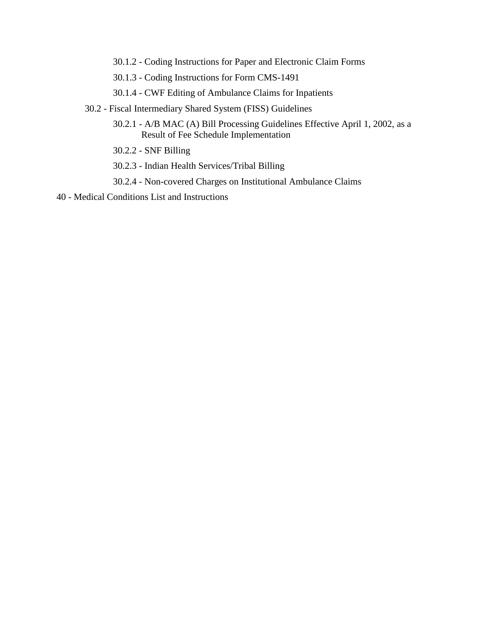- 30.1.2 [Coding Instructions for Paper and Electronic Claim Forms](#page-26-0)
- 30.1.3 [Coding Instructions for Form CMS-1491](#page-28-0)
- 30.1.4 [CWF Editing of Ambulance Claims for Inpatients](#page-28-1)
- 30.2 [Fiscal Intermediary Shared System \(FISS\) Guidelines](#page-28-2)
	- 30.2.1 [A/B MAC \(A\) Bill Processing Guidelines Effective April 1, 2002, as a](#page-34-0)  Result of [Fee Schedule Implementation](#page-34-0)
	- 30.2.2 [SNF Billing](#page-38-0)
	- 30.2.3 [Indian Health Services/Tribal Billing](#page-40-0)
	- 30.2.4 [Non-covered Charges on Institutional Ambulance Claims](#page-41-0)
- 40 [Medical Conditions List and Instructions](#page-44-0)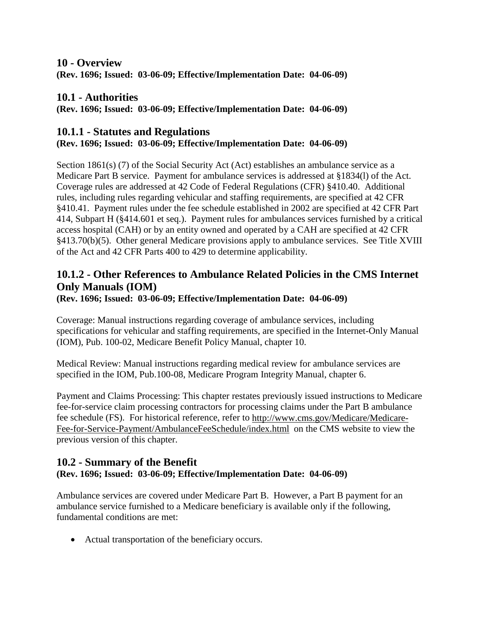# <span id="page-2-0"></span>**10 - Overview (Rev. 1696; Issued: 03-06-09; Effective/Implementation Date: 04-06-09)**

#### <span id="page-2-1"></span>**10.1 - Authorities (Rev. 1696; Issued: 03-06-09; Effective/Implementation Date: 04-06-09)**

# <span id="page-2-2"></span>**10.1.1 - Statutes and Regulations**

# **(Rev. 1696; Issued: 03-06-09; Effective/Implementation Date: 04-06-09)**

Section 1861(s) (7) of the Social Security Act (Act) establishes an ambulance service as a Medicare Part B service. Payment for ambulance services is addressed at §1834(l) of the Act. Coverage rules are addressed at 42 Code of Federal Regulations (CFR) §410.40. Additional rules, including rules regarding vehicular and staffing requirements, are specified at 42 CFR §410.41. Payment rules under the fee schedule established in 2002 are specified at 42 CFR Part 414, Subpart H (§414.601 et seq.). Payment rules for ambulances services furnished by a critical access hospital (CAH) or by an entity owned and operated by a CAH are specified at 42 CFR §413.70(b)(5). Other general Medicare provisions apply to ambulance services. See Title XVIII of the Act and 42 CFR Parts 400 to 429 to determine applicability.

# <span id="page-2-3"></span>**10.1.2 - Other References to Ambulance Related Policies in the CMS Internet Only Manuals (IOM)**

## **(Rev. 1696; Issued: 03-06-09; Effective/Implementation Date: 04-06-09)**

Coverage: Manual instructions regarding coverage of ambulance services, including specifications for vehicular and staffing requirements, are specified in the Internet-Only Manual (IOM), Pub. 100-02, Medicare Benefit Policy Manual, chapter 10.

Medical Review: Manual instructions regarding medical review for ambulance services are specified in the IOM, Pub.100-08, Medicare Program Integrity Manual, chapter 6.

Payment and Claims Processing: This chapter restates previously issued instructions to Medicare fee-for-service claim processing contractors for processing claims under the Part B ambulance fee schedule (FS). For historical reference, refer to [http://www.cms.gov/Medicare/Medicare-](http://www.cms.gov/Medicare/Medicare-Fee-for-Service-Payment/AmbulanceFeeSchedule/index.html)[Fee-for-Service-Payment/AmbulanceFeeSchedule/index.html](http://www.cms.gov/Medicare/Medicare-Fee-for-Service-Payment/AmbulanceFeeSchedule/index.html) on the CMS website to view the previous version of this chapter.

# <span id="page-2-4"></span>**10.2 - Summary of the Benefit (Rev. 1696; Issued: 03-06-09; Effective/Implementation Date: 04-06-09)**

Ambulance services are covered under Medicare Part B. However, a Part B payment for an ambulance service furnished to a Medicare beneficiary is available only if the following, fundamental conditions are met:

• Actual transportation of the beneficiary occurs.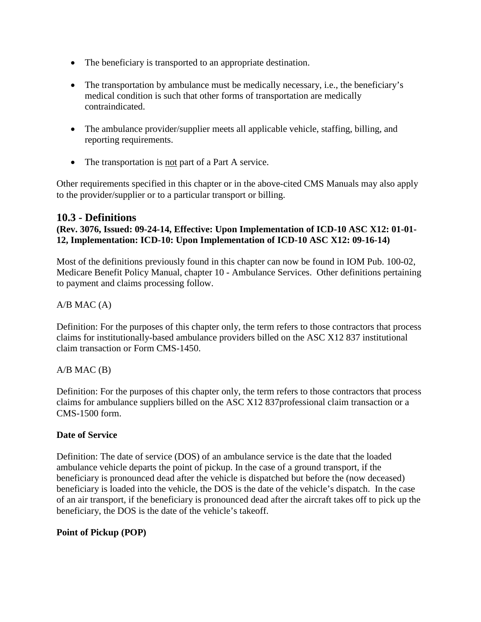- The beneficiary is transported to an appropriate destination.
- The transportation by ambulance must be medically necessary, i.e., the beneficiary's medical condition is such that other forms of transportation are medically contraindicated.
- The ambulance provider/supplier meets all applicable vehicle, staffing, billing, and reporting requirements.
- The transportation is not part of a Part A service.

Other requirements specified in this chapter or in the above-cited CMS Manuals may also apply to the provider/supplier or to a particular transport or billing.

## <span id="page-3-0"></span>**10.3 - Definitions**

# **(Rev. 3076, Issued: 09-24-14, Effective: Upon Implementation of ICD-10 ASC X12: 01-01- 12, Implementation: ICD-10: Upon Implementation of ICD-10 ASC X12: 09-16-14)**

Most of the definitions previously found in this chapter can now be found in IOM Pub. 100-02, Medicare Benefit Policy Manual, chapter 10 - Ambulance Services. Other definitions pertaining to payment and claims processing follow.

## A/B MAC (A)

Definition: For the purposes of this chapter only, the term refers to those contractors that process claims for institutionally-based ambulance providers billed on the ASC X12 837 institutional claim transaction or Form CMS-1450.

### $A/B$  MAC  $(B)$

Definition: For the purposes of this chapter only, the term refers to those contractors that process claims for ambulance suppliers billed on the ASC X12 837professional claim transaction or a CMS-1500 form.

### **Date of Service**

Definition: The date of service (DOS) of an ambulance service is the date that the loaded ambulance vehicle departs the point of pickup. In the case of a ground transport, if the beneficiary is pronounced dead after the vehicle is dispatched but before the (now deceased) beneficiary is loaded into the vehicle, the DOS is the date of the vehicle's dispatch. In the case of an air transport, if the beneficiary is pronounced dead after the aircraft takes off to pick up the beneficiary, the DOS is the date of the vehicle's takeoff.

### **Point of Pickup (POP)**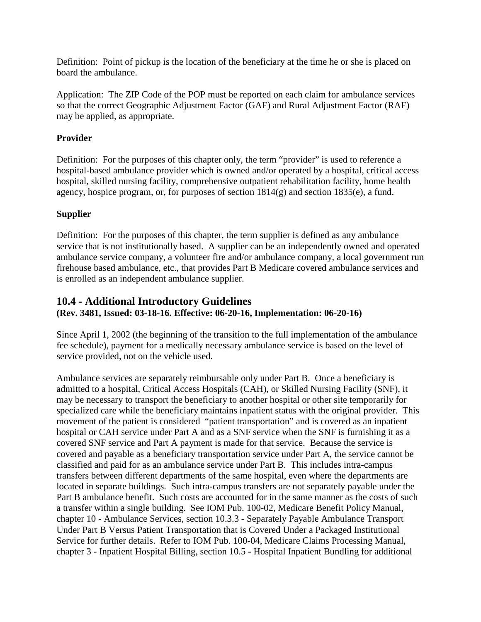Definition: Point of pickup is the location of the beneficiary at the time he or she is placed on board the ambulance.

Application: The ZIP Code of the POP must be reported on each claim for ambulance services so that the correct Geographic Adjustment Factor (GAF) and Rural Adjustment Factor (RAF) may be applied, as appropriate.

## **Provider**

Definition: For the purposes of this chapter only, the term "provider" is used to reference a hospital-based ambulance provider which is owned and/or operated by a hospital, critical access hospital, skilled nursing facility, comprehensive outpatient rehabilitation facility, home health agency, hospice program, or, for purposes of section  $1814(g)$  and section  $1835(e)$ , a fund.

## **Supplier**

Definition: For the purposes of this chapter, the term supplier is defined as any ambulance service that is not institutionally based. A supplier can be an independently owned and operated ambulance service company, a volunteer fire and/or ambulance company, a local government run firehouse based ambulance, etc., that provides Part B Medicare covered ambulance services and is enrolled as an independent ambulance supplier.

# <span id="page-4-0"></span>**10.4 - Additional Introductory Guidelines (Rev. 3481, Issued: 03-18-16. Effective: 06-20-16, Implementation: 06-20-16)**

Since April 1, 2002 (the beginning of the transition to the full implementation of the ambulance fee schedule), payment for a medically necessary ambulance service is based on the level of service provided, not on the vehicle used.

Ambulance services are separately reimbursable only under Part B. Once a beneficiary is admitted to a hospital, Critical Access Hospitals (CAH), or Skilled Nursing Facility (SNF), it may be necessary to transport the beneficiary to another hospital or other site temporarily for specialized care while the beneficiary maintains inpatient status with the original provider. This movement of the patient is considered "patient transportation" and is covered as an inpatient hospital or CAH service under Part A and as a SNF service when the SNF is furnishing it as a covered SNF service and Part A payment is made for that service. Because the service is covered and payable as a beneficiary transportation service under Part A, the service cannot be classified and paid for as an ambulance service under Part B. This includes intra-campus transfers between different departments of the same hospital, even where the departments are located in separate buildings. Such intra-campus transfers are not separately payable under the Part B ambulance benefit. Such costs are accounted for in the same manner as the costs of such a transfer within a single building. See IOM Pub. 100-02, Medicare Benefit Policy Manual, chapter 10 - Ambulance Services, section 10.3.3 - Separately Payable Ambulance Transport Under Part B Versus Patient Transportation that is Covered Under a Packaged Institutional Service for further details. Refer to IOM Pub. 100-04, Medicare Claims Processing Manual, chapter 3 - Inpatient Hospital Billing, section 10.5 - Hospital Inpatient Bundling for additional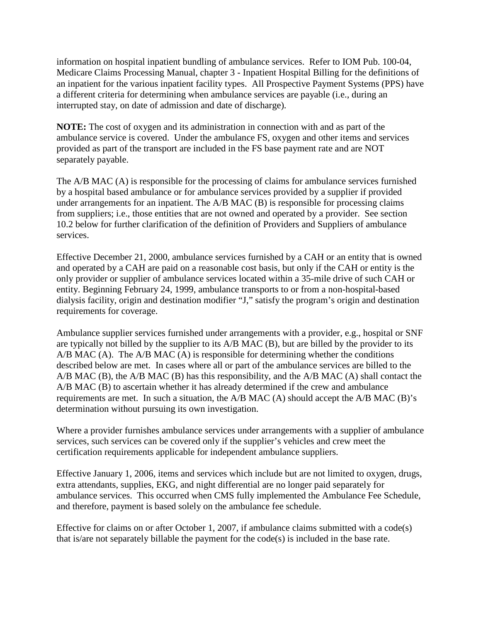information on hospital inpatient bundling of ambulance services. Refer to IOM Pub. 100-04, Medicare Claims Processing Manual, chapter 3 - Inpatient Hospital Billing for the definitions of an inpatient for the various inpatient facility types. All Prospective Payment Systems (PPS) have a different criteria for determining when ambulance services are payable (i.e., during an interrupted stay, on date of admission and date of discharge).

**NOTE:** The cost of oxygen and its administration in connection with and as part of the ambulance service is covered. Under the ambulance FS, oxygen and other items and services provided as part of the transport are included in the FS base payment rate and are NOT separately payable.

The A/B MAC (A) is responsible for the processing of claims for ambulance services furnished by a hospital based ambulance or for ambulance services provided by a supplier if provided under arrangements for an inpatient. The A/B MAC (B) is responsible for processing claims from suppliers; i.e., those entities that are not owned and operated by a provider. See section 10.2 below for further clarification of the definition of Providers and Suppliers of ambulance services.

Effective December 21, 2000, ambulance services furnished by a CAH or an entity that is owned and operated by a CAH are paid on a reasonable cost basis, but only if the CAH or entity is the only provider or supplier of ambulance services located within a 35-mile drive of such CAH or entity. Beginning February 24, 1999, ambulance transports to or from a non-hospital-based dialysis facility, origin and destination modifier "J," satisfy the program's origin and destination requirements for coverage.

Ambulance supplier services furnished under arrangements with a provider, e.g., hospital or SNF are typically not billed by the supplier to its A/B MAC (B), but are billed by the provider to its A/B MAC (A). The A/B MAC (A) is responsible for determining whether the conditions described below are met. In cases where all or part of the ambulance services are billed to the A/B MAC (B), the A/B MAC (B) has this responsibility, and the A/B MAC (A) shall contact the A/B MAC (B) to ascertain whether it has already determined if the crew and ambulance requirements are met. In such a situation, the A/B MAC (A) should accept the A/B MAC (B)'s determination without pursuing its own investigation.

Where a provider furnishes ambulance services under arrangements with a supplier of ambulance services, such services can be covered only if the supplier's vehicles and crew meet the certification requirements applicable for independent ambulance suppliers.

Effective January 1, 2006, items and services which include but are not limited to oxygen, drugs, extra attendants, supplies, EKG, and night differential are no longer paid separately for ambulance services. This occurred when CMS fully implemented the Ambulance Fee Schedule, and therefore, payment is based solely on the ambulance fee schedule.

Effective for claims on or after October 1, 2007, if ambulance claims submitted with a code(s) that is/are not separately billable the payment for the code(s) is included in the base rate.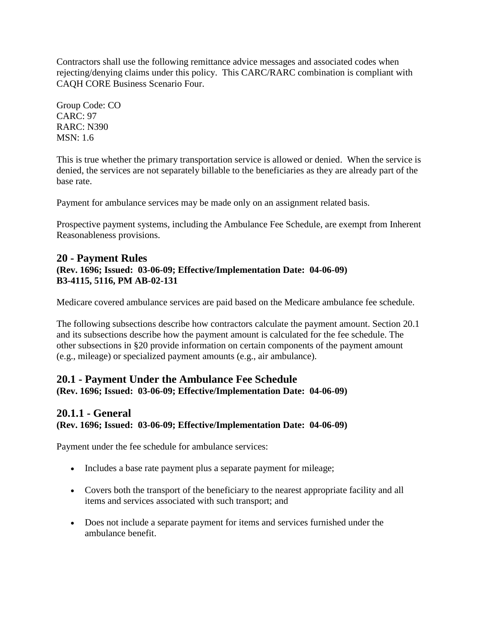Contractors shall use the following remittance advice messages and associated codes when rejecting/denying claims under this policy. This CARC/RARC combination is compliant with CAQH CORE Business Scenario Four.

Group Code: CO CARC: 97 RARC: N390 MSN: 1.6

This is true whether the primary transportation service is allowed or denied. When the service is denied, the services are not separately billable to the beneficiaries as they are already part of the base rate.

Payment for ambulance services may be made only on an assignment related basis.

Prospective payment systems, including the Ambulance Fee Schedule, are exempt from Inherent Reasonableness provisions.

## <span id="page-6-0"></span>**20 - Payment Rules (Rev. 1696; Issued: 03-06-09; Effective/Implementation Date: 04-06-09) B3-4115, 5116, PM AB-02-131**

Medicare covered ambulance services are paid based on the Medicare ambulance fee schedule.

The following subsections describe how contractors calculate the payment amount. Section 20.1 and its subsections describe how the payment amount is calculated for the fee schedule. The other subsections in §20 provide information on certain components of the payment amount (e.g., mileage) or specialized payment amounts (e.g., air ambulance).

### <span id="page-6-1"></span>**20.1 - Payment Under the Ambulance Fee Schedule (Rev. 1696; Issued: 03-06-09; Effective/Implementation Date: 04-06-09)**

# <span id="page-6-2"></span>**20.1.1 - General (Rev. 1696; Issued: 03-06-09; Effective/Implementation Date: 04-06-09)**

Payment under the fee schedule for ambulance services:

- Includes a base rate payment plus a separate payment for mileage;
- Covers both the transport of the beneficiary to the nearest appropriate facility and all items and services associated with such transport; and
- Does not include a separate payment for items and services furnished under the ambulance benefit.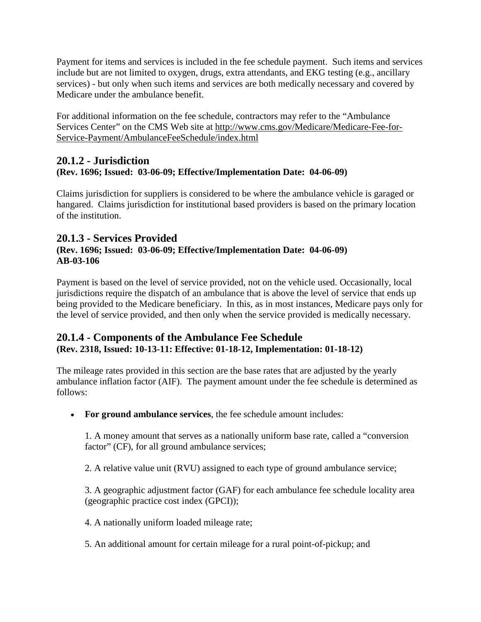Payment for items and services is included in the fee schedule payment. Such items and services include but are not limited to oxygen, drugs, extra attendants, and EKG testing (e.g., ancillary services) - but only when such items and services are both medically necessary and covered by Medicare under the ambulance benefit.

For additional information on the fee schedule, contractors may refer to the "Ambulance Services Center" on the CMS Web site at [http://www.cms.gov/Medicare/Medicare-Fee-for-](http://www.cms.gov/Medicare/Medicare-Fee-for-Service-Payment/AmbulanceFeeSchedule/index.html)[Service-Payment/AmbulanceFeeSchedule/index.html](http://www.cms.gov/Medicare/Medicare-Fee-for-Service-Payment/AmbulanceFeeSchedule/index.html)

# <span id="page-7-0"></span>**20.1.2 - Jurisdiction (Rev. 1696; Issued: 03-06-09; Effective/Implementation Date: 04-06-09)**

Claims jurisdiction for suppliers is considered to be where the ambulance vehicle is garaged or hangared. Claims jurisdiction for institutional based providers is based on the primary location of the institution.

# <span id="page-7-1"></span>**20.1.3 - Services Provided (Rev. 1696; Issued: 03-06-09; Effective/Implementation Date: 04-06-09) AB-03-106**

Payment is based on the level of service provided, not on the vehicle used. Occasionally, local jurisdictions require the dispatch of an ambulance that is above the level of service that ends up being provided to the Medicare beneficiary. In this, as in most instances, Medicare pays only for the level of service provided, and then only when the service provided is medically necessary.

# <span id="page-7-2"></span>**20.1.4 - Components of the Ambulance Fee Schedule (Rev. 2318, Issued: 10-13-11: Effective: 01-18-12, Implementation: 01-18-12)**

The mileage rates provided in this section are the base rates that are adjusted by the yearly ambulance inflation factor (AIF). The payment amount under the fee schedule is determined as follows:

• **For ground ambulance services**, the fee schedule amount includes:

1. A money amount that serves as a nationally uniform base rate, called a "conversion factor" (CF), for all ground ambulance services;

2. A relative value unit (RVU) assigned to each type of ground ambulance service;

3. A geographic adjustment factor (GAF) for each ambulance fee schedule locality area (geographic practice cost index (GPCI));

4. A nationally uniform loaded mileage rate;

5. An additional amount for certain mileage for a rural point-of-pickup; and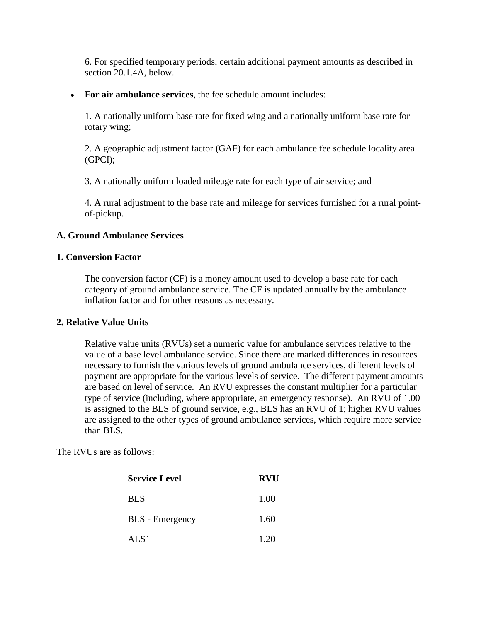6. For specified temporary periods, certain additional payment amounts as described in section 20.1.4A, below.

• **For air ambulance services**, the fee schedule amount includes:

1. A nationally uniform base rate for fixed wing and a nationally uniform base rate for rotary wing;

2. A geographic adjustment factor (GAF) for each ambulance fee schedule locality area (GPCI);

3. A nationally uniform loaded mileage rate for each type of air service; and

4. A rural adjustment to the base rate and mileage for services furnished for a rural pointof-pickup.

### **A. Ground Ambulance Services**

#### **1. Conversion Factor**

The conversion factor (CF) is a money amount used to develop a base rate for each category of ground ambulance service. The CF is updated annually by the ambulance inflation factor and for other reasons as necessary.

#### **2. Relative Value Units**

Relative value units (RVUs) set a numeric value for ambulance services relative to the value of a base level ambulance service. Since there are marked differences in resources necessary to furnish the various levels of ground ambulance services, different levels of payment are appropriate for the various levels of service. The different payment amounts are based on level of service. An RVU expresses the constant multiplier for a particular type of service (including, where appropriate, an emergency response). An RVU of 1.00 is assigned to the BLS of ground service, e.g., BLS has an RVU of 1; higher RVU values are assigned to the other types of ground ambulance services, which require more service than BLS.

The RVUs are as follows:

| <b>Service Level</b>   | <b>RVU</b> |
|------------------------|------------|
| <b>BLS</b>             | 1.00       |
| <b>BLS</b> - Emergency | 1.60       |
| ALS <sub>1</sub>       | 1.20       |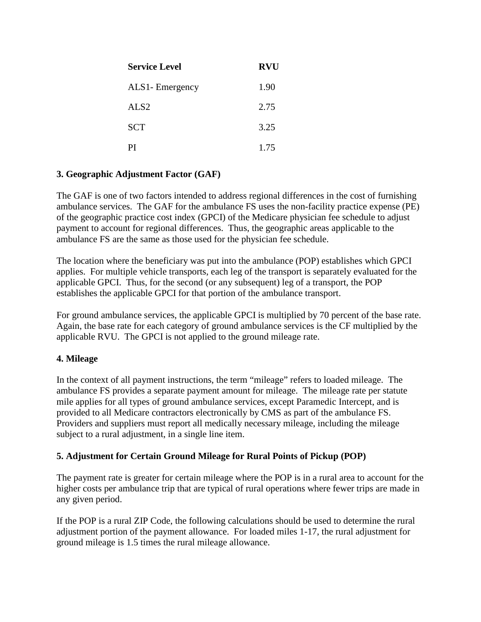| <b>Service Level</b> | <b>RVU</b> |
|----------------------|------------|
| ALS1-Emergency       | 1.90       |
| ALS <sub>2</sub>     | 2.75       |
| <b>SCT</b>           | 3.25       |
| PI                   | 1.75       |

### **3. Geographic Adjustment Factor (GAF)**

The GAF is one of two factors intended to address regional differences in the cost of furnishing ambulance services. The GAF for the ambulance FS uses the non-facility practice expense (PE) of the geographic practice cost index (GPCI) of the Medicare physician fee schedule to adjust payment to account for regional differences. Thus, the geographic areas applicable to the ambulance FS are the same as those used for the physician fee schedule.

The location where the beneficiary was put into the ambulance (POP) establishes which GPCI applies. For multiple vehicle transports, each leg of the transport is separately evaluated for the applicable GPCI. Thus, for the second (or any subsequent) leg of a transport, the POP establishes the applicable GPCI for that portion of the ambulance transport.

For ground ambulance services, the applicable GPCI is multiplied by 70 percent of the base rate. Again, the base rate for each category of ground ambulance services is the CF multiplied by the applicable RVU. The GPCI is not applied to the ground mileage rate.

### **4. Mileage**

In the context of all payment instructions, the term "mileage" refers to loaded mileage. The ambulance FS provides a separate payment amount for mileage. The mileage rate per statute mile applies for all types of ground ambulance services, except Paramedic Intercept, and is provided to all Medicare contractors electronically by CMS as part of the ambulance FS. Providers and suppliers must report all medically necessary mileage, including the mileage subject to a rural adjustment, in a single line item.

### **5. Adjustment for Certain Ground Mileage for Rural Points of Pickup (POP)**

The payment rate is greater for certain mileage where the POP is in a rural area to account for the higher costs per ambulance trip that are typical of rural operations where fewer trips are made in any given period.

If the POP is a rural ZIP Code, the following calculations should be used to determine the rural adjustment portion of the payment allowance. For loaded miles 1-17, the rural adjustment for ground mileage is 1.5 times the rural mileage allowance.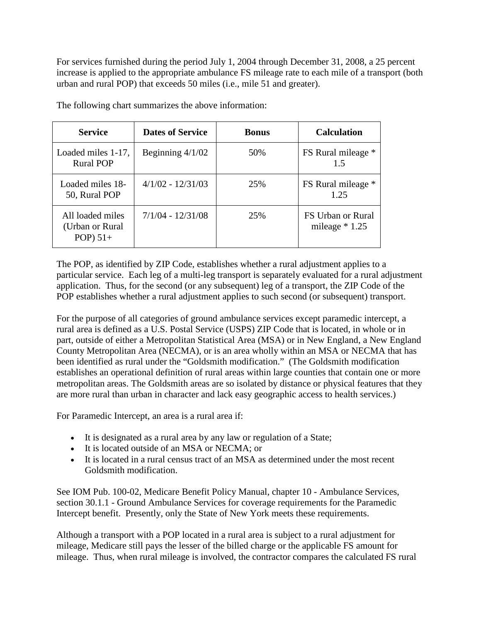For services furnished during the period July 1, 2004 through December 31, 2008, a 25 percent increase is applied to the appropriate ambulance FS mileage rate to each mile of a transport (both urban and rural POP) that exceeds 50 miles (i.e., mile 51 and greater).

| <b>Service</b>                                      | <b>Dates of Service</b> | <b>Bonus</b> | <b>Calculation</b>                          |
|-----------------------------------------------------|-------------------------|--------------|---------------------------------------------|
| Loaded miles 1-17,<br><b>Rural POP</b>              | Beginning $4/1/02$      | 50%          | FS Rural mileage *<br>1.5                   |
| Loaded miles 18-<br>50, Rural POP                   | $4/1/02 - 12/31/03$     | 25%          | FS Rural mileage *<br>1.25                  |
| All loaded miles<br>(Urban or Rural)<br>POP $) 51+$ | $7/1/04 - 12/31/08$     | 25%          | <b>FS Urban or Rural</b><br>mileage $*1.25$ |

The following chart summarizes the above information:

The POP, as identified by ZIP Code, establishes whether a rural adjustment applies to a particular service. Each leg of a multi-leg transport is separately evaluated for a rural adjustment application. Thus, for the second (or any subsequent) leg of a transport, the ZIP Code of the POP establishes whether a rural adjustment applies to such second (or subsequent) transport.

For the purpose of all categories of ground ambulance services except paramedic intercept, a rural area is defined as a U.S. Postal Service (USPS) ZIP Code that is located, in whole or in part, outside of either a Metropolitan Statistical Area (MSA) or in New England, a New England County Metropolitan Area (NECMA), or is an area wholly within an MSA or NECMA that has been identified as rural under the "Goldsmith modification." (The Goldsmith modification establishes an operational definition of rural areas within large counties that contain one or more metropolitan areas. The Goldsmith areas are so isolated by distance or physical features that they are more rural than urban in character and lack easy geographic access to health services.)

For Paramedic Intercept, an area is a rural area if:

- It is designated as a rural area by any law or regulation of a State;
- It is located outside of an MSA or NECMA; or
- It is located in a rural census tract of an MSA as determined under the most recent Goldsmith modification.

See IOM Pub. 100-02, Medicare Benefit Policy Manual, chapter 10 - Ambulance Services, section 30.1.1 - Ground Ambulance Services for coverage requirements for the Paramedic Intercept benefit. Presently, only the State of New York meets these requirements.

Although a transport with a POP located in a rural area is subject to a rural adjustment for mileage, Medicare still pays the lesser of the billed charge or the applicable FS amount for mileage. Thus, when rural mileage is involved, the contractor compares the calculated FS rural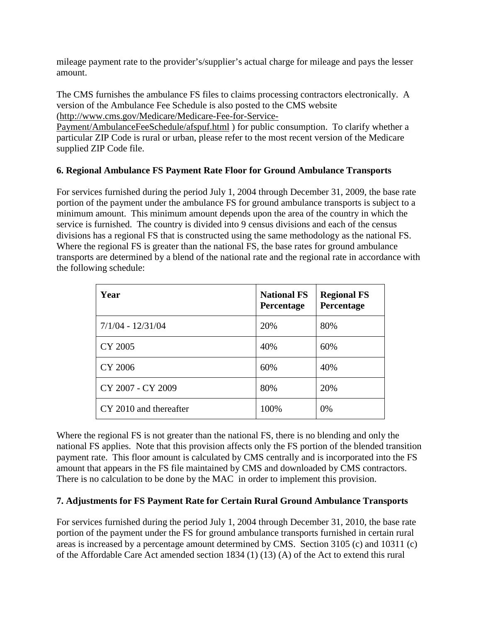mileage payment rate to the provider's/supplier's actual charge for mileage and pays the lesser amount.

The CMS furnishes the ambulance FS files to claims processing contractors electronically. A version of the Ambulance Fee Schedule is also posted to the CMS website [\(http://www.cms.gov/Medicare/Medicare-Fee-for-Service-](http://www.cms.gov/Medicare/Medicare-Fee-for-Service-Payment/AmbulanceFeeSchedule/afspuf.html)

[Payment/AmbulanceFeeSchedule/afspuf.html](http://www.cms.gov/Medicare/Medicare-Fee-for-Service-Payment/AmbulanceFeeSchedule/afspuf.html) ) for public consumption. To clarify whether a particular ZIP Code is rural or urban, please refer to the most recent version of the Medicare supplied ZIP Code file.

## **6. Regional Ambulance FS Payment Rate Floor for Ground Ambulance Transports**

For services furnished during the period July 1, 2004 through December 31, 2009, the base rate portion of the payment under the ambulance FS for ground ambulance transports is subject to a minimum amount. This minimum amount depends upon the area of the country in which the service is furnished. The country is divided into 9 census divisions and each of the census divisions has a regional FS that is constructed using the same methodology as the national FS. Where the regional FS is greater than the national FS, the base rates for ground ambulance transports are determined by a blend of the national rate and the regional rate in accordance with the following schedule:

| Year                   | <b>National FS</b><br>Percentage | <b>Regional FS</b><br>Percentage |
|------------------------|----------------------------------|----------------------------------|
| $7/1/04 - 12/31/04$    | 20%                              | 80%                              |
| CY 2005                | 40%                              | 60%                              |
| CY 2006                | 60%                              | 40%                              |
| CY 2007 - CY 2009      | 80%                              | 20%                              |
| CY 2010 and thereafter | 100%                             | 0%                               |

Where the regional FS is not greater than the national FS, there is no blending and only the national FS applies. Note that this provision affects only the FS portion of the blended transition payment rate. This floor amount is calculated by CMS centrally and is incorporated into the FS amount that appears in the FS file maintained by CMS and downloaded by CMS contractors. There is no calculation to be done by the MAC in order to implement this provision.

### **7. Adjustments for FS Payment Rate for Certain Rural Ground Ambulance Transports**

For services furnished during the period July 1, 2004 through December 31, 2010, the base rate portion of the payment under the FS for ground ambulance transports furnished in certain rural areas is increased by a percentage amount determined by CMS. Section 3105 (c) and 10311 (c) of the Affordable Care Act amended section 1834 (1) (13) (A) of the Act to extend this rural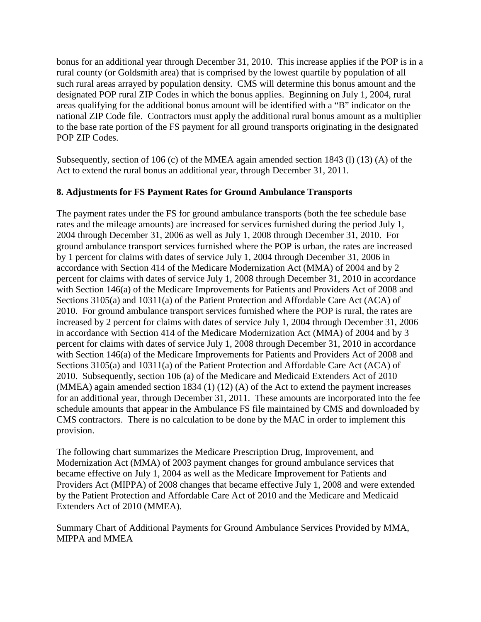bonus for an additional year through December 31, 2010. This increase applies if the POP is in a rural county (or Goldsmith area) that is comprised by the lowest quartile by population of all such rural areas arrayed by population density. CMS will determine this bonus amount and the designated POP rural ZIP Codes in which the bonus applies. Beginning on July 1, 2004, rural areas qualifying for the additional bonus amount will be identified with a "B" indicator on the national ZIP Code file. Contractors must apply the additional rural bonus amount as a multiplier to the base rate portion of the FS payment for all ground transports originating in the designated POP ZIP Codes.

Subsequently, section of 106 (c) of the MMEA again amended section 1843 (l) (13) (A) of the Act to extend the rural bonus an additional year, through December 31, 2011.

### **8. Adjustments for FS Payment Rates for Ground Ambulance Transports**

The payment rates under the FS for ground ambulance transports (both the fee schedule base rates and the mileage amounts) are increased for services furnished during the period July 1, 2004 through December 31, 2006 as well as July 1, 2008 through December 31, 2010. For ground ambulance transport services furnished where the POP is urban, the rates are increased by 1 percent for claims with dates of service July 1, 2004 through December 31, 2006 in accordance with Section 414 of the Medicare Modernization Act (MMA) of 2004 and by 2 percent for claims with dates of service July 1, 2008 through December 31, 2010 in accordance with Section 146(a) of the Medicare Improvements for Patients and Providers Act of 2008 and Sections 3105(a) and 10311(a) of the Patient Protection and Affordable Care Act (ACA) of 2010. For ground ambulance transport services furnished where the POP is rural, the rates are increased by 2 percent for claims with dates of service July 1, 2004 through December 31, 2006 in accordance with Section 414 of the Medicare Modernization Act (MMA) of 2004 and by 3 percent for claims with dates of service July 1, 2008 through December 31, 2010 in accordance with Section 146(a) of the Medicare Improvements for Patients and Providers Act of 2008 and Sections 3105(a) and 10311(a) of the Patient Protection and Affordable Care Act (ACA) of 2010. Subsequently, section 106 (a) of the Medicare and Medicaid Extenders Act of 2010 (MMEA) again amended section 1834 (1) (12) (A) of the Act to extend the payment increases for an additional year, through December 31, 2011. These amounts are incorporated into the fee schedule amounts that appear in the Ambulance FS file maintained by CMS and downloaded by CMS contractors. There is no calculation to be done by the MAC in order to implement this provision.

The following chart summarizes the Medicare Prescription Drug, Improvement, and Modernization Act (MMA) of 2003 payment changes for ground ambulance services that became effective on July 1, 2004 as well as the Medicare Improvement for Patients and Providers Act (MIPPA) of 2008 changes that became effective July 1, 2008 and were extended by the Patient Protection and Affordable Care Act of 2010 and the Medicare and Medicaid Extenders Act of 2010 (MMEA).

Summary Chart of Additional Payments for Ground Ambulance Services Provided by MMA, MIPPA and MMEA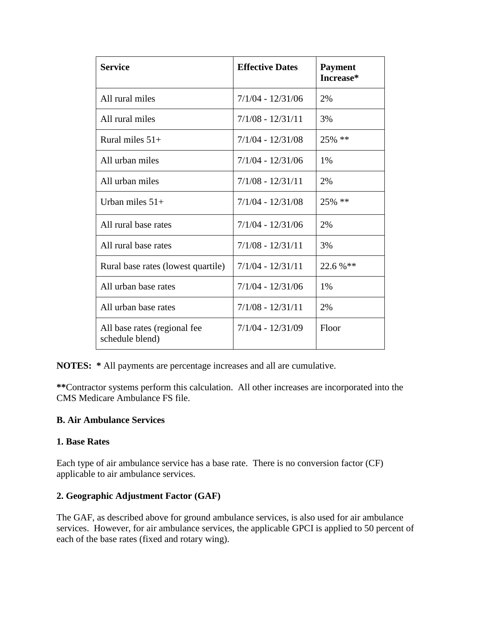| <b>Service</b>                                  | <b>Effective Dates</b> | <b>Payment</b><br>Increase* |
|-------------------------------------------------|------------------------|-----------------------------|
| All rural miles                                 | $7/1/04 - 12/31/06$    | 2%                          |
| All rural miles                                 | 7/1/08 - 12/31/11      | 3%                          |
| Rural miles $51+$                               | $7/1/04 - 12/31/08$    | $25\%$ **                   |
| All urban miles                                 | $7/1/04 - 12/31/06$    | 1%                          |
| All urban miles                                 | $7/1/08 - 12/31/11$    | 2%                          |
| Urban miles $51+$                               | $7/1/04 - 12/31/08$    | $25\%$ **                   |
| All rural base rates                            | $7/1/04 - 12/31/06$    | 2%                          |
| All rural base rates                            | $7/1/08 - 12/31/11$    | 3%                          |
| Rural base rates (lowest quartile)              | $7/1/04 - 12/31/11$    | $22.6 \%$ **                |
| All urban base rates                            | $7/1/04 - 12/31/06$    | $1\%$                       |
| All urban base rates                            | $7/1/08 - 12/31/11$    | 2%                          |
| All base rates (regional fee<br>schedule blend) | 7/1/04 - 12/31/09      | Floor                       |

**NOTES: \*** All payments are percentage increases and all are cumulative.

**\*\***Contractor systems perform this calculation. All other increases are incorporated into the CMS Medicare Ambulance FS file.

### **B. Air Ambulance Services**

#### **1. Base Rates**

Each type of air ambulance service has a base rate. There is no conversion factor (CF) applicable to air ambulance services.

#### **2. Geographic Adjustment Factor (GAF)**

The GAF, as described above for ground ambulance services, is also used for air ambulance services. However, for air ambulance services, the applicable GPCI is applied to 50 percent of each of the base rates (fixed and rotary wing).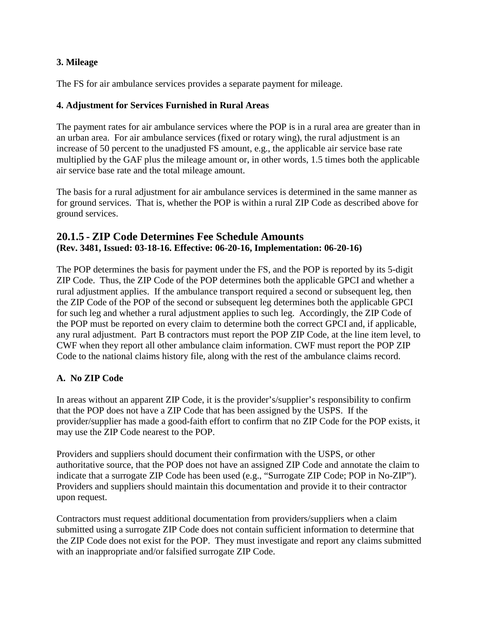### **3. Mileage**

The FS for air ambulance services provides a separate payment for mileage.

### **4. Adjustment for Services Furnished in Rural Areas**

The payment rates for air ambulance services where the POP is in a rural area are greater than in an urban area. For air ambulance services (fixed or rotary wing), the rural adjustment is an increase of 50 percent to the unadjusted FS amount, e.g., the applicable air service base rate multiplied by the GAF plus the mileage amount or, in other words, 1.5 times both the applicable air service base rate and the total mileage amount.

The basis for a rural adjustment for air ambulance services is determined in the same manner as for ground services. That is, whether the POP is within a rural ZIP Code as described above for ground services.

# <span id="page-14-0"></span>**20.1.5 - ZIP Code Determines Fee Schedule Amounts (Rev. 3481, Issued: 03-18-16. Effective: 06-20-16, Implementation: 06-20-16)**

The POP determines the basis for payment under the FS, and the POP is reported by its 5-digit ZIP Code. Thus, the ZIP Code of the POP determines both the applicable GPCI and whether a rural adjustment applies. If the ambulance transport required a second or subsequent leg, then the ZIP Code of the POP of the second or subsequent leg determines both the applicable GPCI for such leg and whether a rural adjustment applies to such leg. Accordingly, the ZIP Code of the POP must be reported on every claim to determine both the correct GPCI and, if applicable, any rural adjustment. Part B contractors must report the POP ZIP Code, at the line item level, to CWF when they report all other ambulance claim information. CWF must report the POP ZIP Code to the national claims history file, along with the rest of the ambulance claims record.

### **A. No ZIP Code**

In areas without an apparent ZIP Code, it is the provider's/supplier's responsibility to confirm that the POP does not have a ZIP Code that has been assigned by the USPS. If the provider/supplier has made a good-faith effort to confirm that no ZIP Code for the POP exists, it may use the ZIP Code nearest to the POP.

Providers and suppliers should document their confirmation with the USPS, or other authoritative source, that the POP does not have an assigned ZIP Code and annotate the claim to indicate that a surrogate ZIP Code has been used (e.g., "Surrogate ZIP Code; POP in No-ZIP"). Providers and suppliers should maintain this documentation and provide it to their contractor upon request.

Contractors must request additional documentation from providers/suppliers when a claim submitted using a surrogate ZIP Code does not contain sufficient information to determine that the ZIP Code does not exist for the POP. They must investigate and report any claims submitted with an inappropriate and/or falsified surrogate ZIP Code.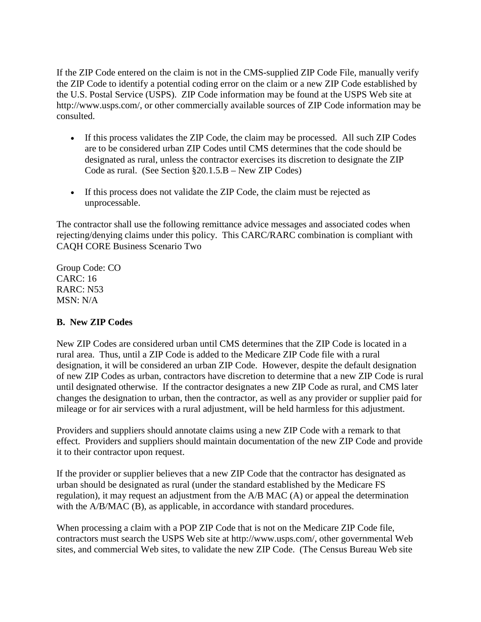If the ZIP Code entered on the claim is not in the CMS-supplied ZIP Code File, manually verify the ZIP Code to identify a potential coding error on the claim or a new ZIP Code established by the U.S. Postal Service (USPS). ZIP Code information may be found at the USPS Web site at [http://www.usps.com/,](http://www.usps.com/) or other commercially available sources of ZIP Code information may be consulted.

- If this process validates the ZIP Code, the claim may be processed. All such ZIP Codes are to be considered urban ZIP Codes until CMS determines that the code should be designated as rural, unless the contractor exercises its discretion to designate the ZIP Code as rural. (See Section §20.1.5.B – New ZIP Codes)
- If this process does not validate the ZIP Code, the claim must be rejected as unprocessable.

The contractor shall use the following remittance advice messages and associated codes when rejecting/denying claims under this policy. This CARC/RARC combination is compliant with CAQH CORE Business Scenario Two

Group Code: CO CARC: 16 RARC: N53 MSN: N/A

### **B. New ZIP Codes**

New ZIP Codes are considered urban until CMS determines that the ZIP Code is located in a rural area. Thus, until a ZIP Code is added to the Medicare ZIP Code file with a rural designation, it will be considered an urban ZIP Code. However, despite the default designation of new ZIP Codes as urban, contractors have discretion to determine that a new ZIP Code is rural until designated otherwise. If the contractor designates a new ZIP Code as rural, and CMS later changes the designation to urban, then the contractor, as well as any provider or supplier paid for mileage or for air services with a rural adjustment, will be held harmless for this adjustment.

Providers and suppliers should annotate claims using a new ZIP Code with a remark to that effect. Providers and suppliers should maintain documentation of the new ZIP Code and provide it to their contractor upon request.

If the provider or supplier believes that a new ZIP Code that the contractor has designated as urban should be designated as rural (under the standard established by the Medicare FS regulation), it may request an adjustment from the A/B MAC (A) or appeal the determination with the A/B/MAC (B), as applicable, in accordance with standard procedures.

When processing a claim with a POP ZIP Code that is not on the Medicare ZIP Code file, contractors must search the USPS Web site at [http://www.usps.com/,](http://www.usps.com/) other governmental Web sites, and commercial Web sites, to validate the new ZIP Code. (The Census Bureau Web site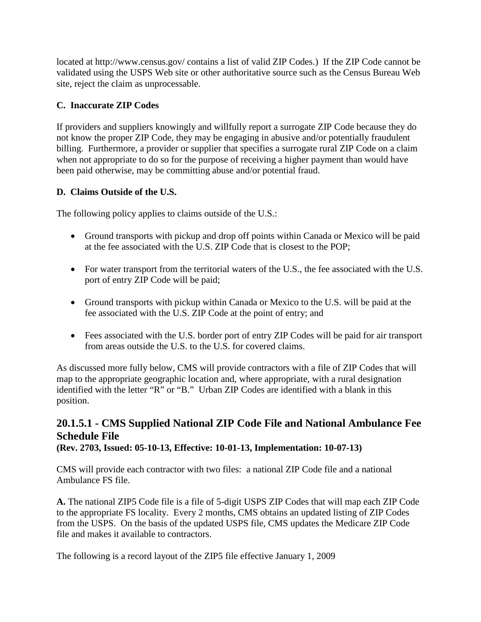located at<http://www.census.gov/> contains a list of valid ZIP Codes.) If the ZIP Code cannot be validated using the USPS Web site or other authoritative source such as the Census Bureau Web site, reject the claim as unprocessable.

## **C. Inaccurate ZIP Codes**

If providers and suppliers knowingly and willfully report a surrogate ZIP Code because they do not know the proper ZIP Code, they may be engaging in abusive and/or potentially fraudulent billing. Furthermore, a provider or supplier that specifies a surrogate rural ZIP Code on a claim when not appropriate to do so for the purpose of receiving a higher payment than would have been paid otherwise, may be committing abuse and/or potential fraud.

# **D. Claims Outside of the U.S.**

The following policy applies to claims outside of the U.S.:

- Ground transports with pickup and drop off points within Canada or Mexico will be paid at the fee associated with the U.S. ZIP Code that is closest to the POP;
- For water transport from the territorial waters of the U.S., the fee associated with the U.S. port of entry ZIP Code will be paid;
- Ground transports with pickup within Canada or Mexico to the U.S. will be paid at the fee associated with the U.S. ZIP Code at the point of entry; and
- Fees associated with the U.S. border port of entry ZIP Codes will be paid for air transport from areas outside the U.S. to the U.S. for covered claims.

As discussed more fully below, CMS will provide contractors with a file of ZIP Codes that will map to the appropriate geographic location and, where appropriate, with a rural designation identified with the letter "R" or "B." Urban ZIP Codes are identified with a blank in this position.

# <span id="page-16-0"></span>**20.1.5.1 - CMS Supplied National ZIP Code File and National Ambulance Fee Schedule File**

**(Rev. 2703, Issued: 05-10-13, Effective: 10-01-13, Implementation: 10-07-13)**

CMS will provide each contractor with two files: a national ZIP Code file and a national Ambulance FS file.

**A.** The national ZIP5 Code file is a file of 5-digit USPS ZIP Codes that will map each ZIP Code to the appropriate FS locality. Every 2 months, CMS obtains an updated listing of ZIP Codes from the USPS. On the basis of the updated USPS file, CMS updates the Medicare ZIP Code file and makes it available to contractors.

The following is a record layout of the ZIP5 file effective January 1, 2009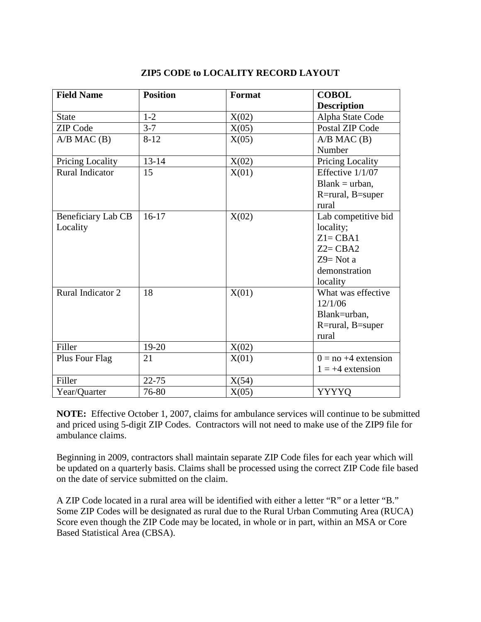| <b>Field Name</b>      | <b>Position</b> | Format | <b>COBOL</b>          |
|------------------------|-----------------|--------|-----------------------|
|                        |                 |        | <b>Description</b>    |
| <b>State</b>           | $1-2$           | X(02)  | Alpha State Code      |
| <b>ZIP</b> Code        | $3 - 7$         | X(05)  | Postal ZIP Code       |
| $A/B$ MAC $(B)$        | $8 - 12$        | X(05)  | $A/B$ MAC $(B)$       |
|                        |                 |        | Number                |
| Pricing Locality       | $13 - 14$       | X(02)  | Pricing Locality      |
| <b>Rural Indicator</b> | 15              | X(01)  | Effective $1/1/07$    |
|                        |                 |        | $Blank = urban$ ,     |
|                        |                 |        | R=rural, B=super      |
|                        |                 |        | rural                 |
| Beneficiary Lab CB     | $16-17$         | X(02)  | Lab competitive bid   |
| Locality               |                 |        | locality;             |
|                        |                 |        | $Z1 = CBA1$           |
|                        |                 |        | $Z2 = CBA2$           |
|                        |                 |        | $Z9=Nota$             |
|                        |                 |        | demonstration         |
|                        |                 |        | locality              |
| Rural Indicator 2      | 18              | X(01)  | What was effective    |
|                        |                 |        | 12/1/06               |
|                        |                 |        | Blank=urban,          |
|                        |                 |        | R=rural, B=super      |
|                        |                 |        | rural                 |
| Filler                 | $19-20$         | X(02)  |                       |
| Plus Four Flag         | 21              | X(01)  | $0 = no +4$ extension |
|                        |                 |        | $1 = +4$ extension    |
| Filler                 | $22 - 75$       | X(54)  |                       |
| Year/Quarter           | 76-80           | X(05)  | <b>YYYYQ</b>          |

**NOTE:** Effective October 1, 2007, claims for ambulance services will continue to be submitted and priced using 5-digit ZIP Codes. Contractors will not need to make use of the ZIP9 file for ambulance claims.

Beginning in 2009, contractors shall maintain separate ZIP Code files for each year which will be updated on a quarterly basis. Claims shall be processed using the correct ZIP Code file based on the date of service submitted on the claim.

A ZIP Code located in a rural area will be identified with either a letter "R" or a letter "B." Some ZIP Codes will be designated as rural due to the Rural Urban Commuting Area (RUCA) Score even though the ZIP Code may be located, in whole or in part, within an MSA or Core Based Statistical Area (CBSA).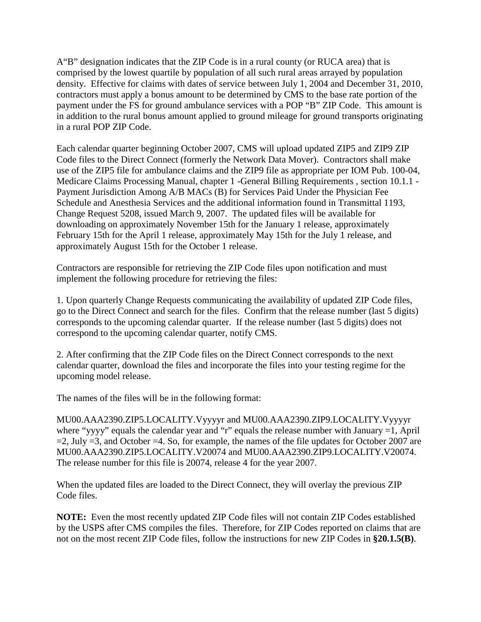A"B" designation indicates that the ZIP Code is in a rural county (or RUCA area) that is comprised by the lowest quartile by population of all such rural areas arrayed by population density. Effective for claims with dates of service between July 1, 2004 and December 31, 2010, contractors must apply a bonus amount to be determined by CMS to the base rate portion of the payment under the FS for ground ambulance services with a POP "B" ZIP Code. This amount is in addition to the rural bonus amount applied to ground mileage for ground transports originating in a rural POP ZIP Code.

Each calendar quarter beginning October 2007, CMS will upload updated ZIP5 and ZIP9 ZIP Code files to the Direct Connect (formerly the Network Data Mover). Contractors shall make use of the ZIP5 file for ambulance claims and the ZIP9 file as appropriate per IOM Pub. 100-04, Medicare Claims Processing Manual, chapter 1 -General Billing Requirements , section 10.1.1 - Payment Jurisdiction Among A/B MACs (B) for Services Paid Under the Physician Fee Schedule and Anesthesia Services and the additional information found in Transmittal 1193, Change Request 5208, issued March 9, 2007. The updated files will be available for downloading on approximately November 15th for the January 1 release, approximately February 15th for the April 1 release, approximately May 15th for the July 1 release, and approximately August 15th for the October 1 release.

Contractors are responsible for retrieving the ZIP Code files upon notification and must implement the following procedure for retrieving the files:

1. Upon quarterly Change Requests communicating the availability of updated ZIP Code files, go to the Direct Connect and search for the files. Confirm that the release number (last 5 digits) corresponds to the upcoming calendar quarter. If the release number (last 5 digits) does not correspond to the upcoming calendar quarter, notify CMS.

2. After confirming that the ZIP Code files on the Direct Connect corresponds to the next calendar quarter, download the files and incorporate the files into your testing regime for the upcoming model release.

The names of the files will be in the following format:

MU00.AAA2390.ZIP5.LOCALITY.Vyyyyr and MU00.AAA2390.ZIP9.LOCALITY.Vyyyyr where "yyyy" equals the calendar year and "r" equals the release number with January  $=1$ , April  $=$  2, July  $=$  3, and October  $=$  4. So, for example, the names of the file updates for October 2007 are MU00.AAA2390.ZIP5.LOCALITY.V20074 and MU00.AAA2390.ZIP9.LOCALITY.V20074. The release number for this file is 20074, release 4 for the year 2007.

When the updated files are loaded to the Direct Connect, they will overlay the previous ZIP Code files.

**NOTE:** Even the most recently updated ZIP Code files will not contain ZIP Codes established by the USPS after CMS compiles the files. Therefore, for ZIP Codes reported on claims that are not on the most recent ZIP Code files, follow the instructions for new ZIP Codes in **§20.1.5(B)**.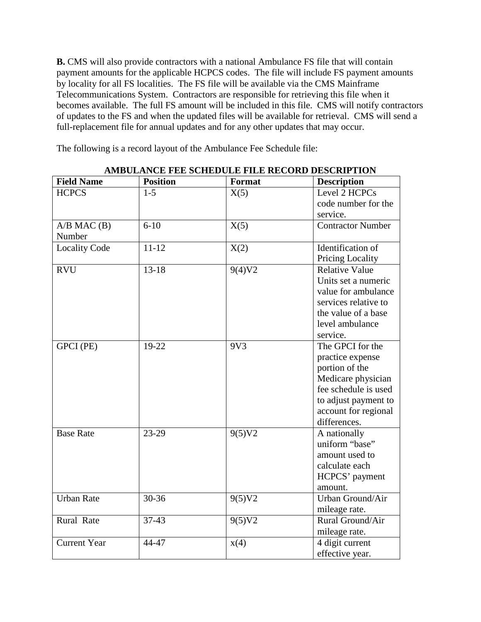**B.** CMS will also provide contractors with a national Ambulance FS file that will contain payment amounts for the applicable HCPCS codes. The file will include FS payment amounts by locality for all FS localities. The FS file will be available via the CMS Mainframe Telecommunications System. Contractors are responsible for retrieving this file when it becomes available. The full FS amount will be included in this file. CMS will notify contractors of updates to the FS and when the updated files will be available for retrieval. CMS will send a full-replacement file for annual updates and for any other updates that may occur.

The following is a record layout of the Ambulance Fee Schedule file:

| <b>Field Name</b>    | <b>Position</b> | Format | AMDULARUE FEE SCHEDULE FIEE KEUOKD DESUKH TIUR<br><b>Description</b> |
|----------------------|-----------------|--------|----------------------------------------------------------------------|
| <b>HCPCS</b>         | $1-5$           | X(5)   | Level 2 HCPCs                                                        |
|                      |                 |        | code number for the                                                  |
|                      |                 |        | service.                                                             |
| $A/B$ MAC $(B)$      | $6-10$          | X(5)   | <b>Contractor Number</b>                                             |
| Number               |                 |        |                                                                      |
| <b>Locality Code</b> | $11 - 12$       | X(2)   | Identification of                                                    |
|                      |                 |        | Pricing Locality                                                     |
| <b>RVU</b>           | $13 - 18$       | 9(4)V2 | <b>Relative Value</b>                                                |
|                      |                 |        | Units set a numeric                                                  |
|                      |                 |        | value for ambulance                                                  |
|                      |                 |        | services relative to                                                 |
|                      |                 |        | the value of a base                                                  |
|                      |                 |        | level ambulance                                                      |
|                      |                 |        | service.                                                             |
| GPCI (PE)            | 19-22           | 9V3    | The GPCI for the                                                     |
|                      |                 |        | practice expense                                                     |
|                      |                 |        | portion of the                                                       |
|                      |                 |        | Medicare physician                                                   |
|                      |                 |        | fee schedule is used                                                 |
|                      |                 |        | to adjust payment to                                                 |
|                      |                 |        | account for regional                                                 |
|                      |                 |        | differences.                                                         |
| <b>Base Rate</b>     | 23-29           | 9(5)V2 | A nationally                                                         |
|                      |                 |        | uniform "base"                                                       |
|                      |                 |        | amount used to                                                       |
|                      |                 |        | calculate each                                                       |
|                      |                 |        | HCPCS' payment                                                       |
|                      |                 |        | amount.                                                              |
| <b>Urban Rate</b>    | 30-36           | 9(5)V2 | Urban Ground/Air                                                     |
|                      |                 |        | mileage rate.                                                        |
| Rural Rate           | $37 - 43$       | 9(5)V2 | Rural Ground/Air                                                     |
|                      |                 |        | mileage rate.                                                        |
| <b>Current Year</b>  | 44-47           | x(4)   | 4 digit current                                                      |
|                      |                 |        | effective year.                                                      |

**AMBULANCE FEE SCHEDULE FILE RECORD DESCRIPTION**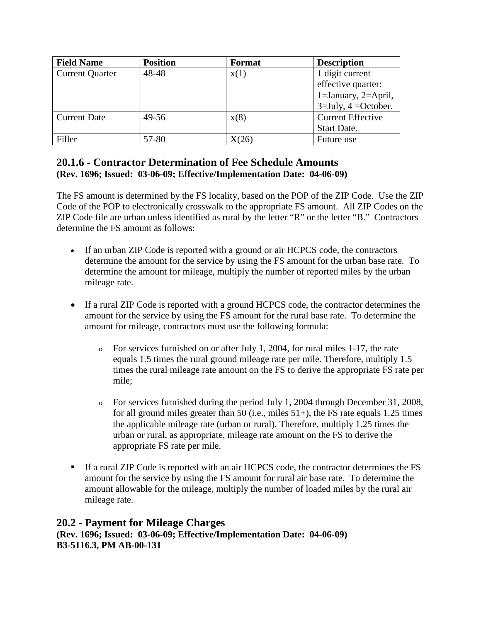| <b>Field Name</b>      | <b>Position</b> | Format | <b>Description</b>       |  |
|------------------------|-----------------|--------|--------------------------|--|
| <b>Current Quarter</b> | 48-48           | x(1)   | 1 digit current          |  |
|                        |                 |        | effective quarter:       |  |
|                        |                 |        | 1=January, 2=April,      |  |
|                        |                 |        | $3 = July, 4 = October.$ |  |
| <b>Current Date</b>    | $49 - 56$       | x(8)   | <b>Current Effective</b> |  |
|                        |                 |        | <b>Start Date.</b>       |  |
| Filler                 | 57-80           | X(26)  | Future use               |  |

# <span id="page-20-0"></span>**20.1.6 - Contractor Determination of Fee Schedule Amounts (Rev. 1696; Issued: 03-06-09; Effective/Implementation Date: 04-06-09)**

The FS amount is determined by the FS locality, based on the POP of the ZIP Code. Use the ZIP Code of the POP to electronically crosswalk to the appropriate FS amount. All ZIP Codes on the ZIP Code file are urban unless identified as rural by the letter "R" or the letter "B." Contractors determine the FS amount as follows:

- If an urban ZIP Code is reported with a ground or air HCPCS code, the contractors determine the amount for the service by using the FS amount for the urban base rate. To determine the amount for mileage, multiply the number of reported miles by the urban mileage rate.
- If a rural ZIP Code is reported with a ground HCPCS code, the contractor determines the amount for the service by using the FS amount for the rural base rate. To determine the amount for mileage, contractors must use the following formula:
	- <sup>o</sup> For services furnished on or after July 1, 2004, for rural miles 1-17, the rate equals 1.5 times the rural ground mileage rate per mile. Therefore, multiply 1.5 times the rural mileage rate amount on the FS to derive the appropriate FS rate per mile;
	- <sup>o</sup> For services furnished during the period July 1, 2004 through December 31, 2008, for all ground miles greater than 50 (i.e., miles  $51+$ ), the FS rate equals 1.25 times the applicable mileage rate (urban or rural). Therefore, multiply 1.25 times the urban or rural, as appropriate, mileage rate amount on the FS to derive the appropriate FS rate per mile.
- If a rural ZIP Code is reported with an air HCPCS code, the contractor determines the FS amount for the service by using the FS amount for rural air base rate. To determine the amount allowable for the mileage, multiply the number of loaded miles by the rural air mileage rate.

### <span id="page-20-1"></span>**20.2 - Payment for Mileage Charges (Rev. 1696; Issued: 03-06-09; Effective/Implementation Date: 04-06-09) B3-5116.3, PM AB-00-131**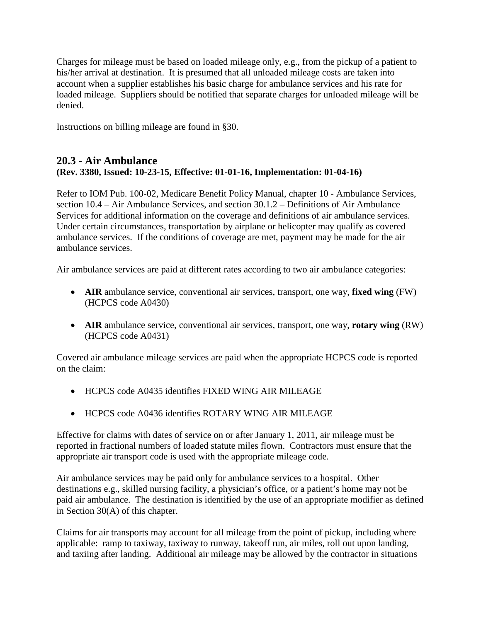Charges for mileage must be based on loaded mileage only, e.g., from the pickup of a patient to his/her arrival at destination. It is presumed that all unloaded mileage costs are taken into account when a supplier establishes his basic charge for ambulance services and his rate for loaded mileage. Suppliers should be notified that separate charges for unloaded mileage will be denied.

Instructions on billing mileage are found in §30.

# <span id="page-21-0"></span>**20.3 - Air Ambulance (Rev. 3380, Issued: 10-23-15, Effective: 01-01-16, Implementation: 01-04-16)**

Refer to IOM Pub. 100-02, Medicare Benefit Policy Manual, chapter 10 - Ambulance Services, section 10.4 – Air Ambulance Services, and section 30.1.2 – Definitions of Air Ambulance Services for additional information on the coverage and definitions of air ambulance services. Under certain circumstances, transportation by airplane or helicopter may qualify as covered ambulance services. If the conditions of coverage are met, payment may be made for the air ambulance services.

Air ambulance services are paid at different rates according to two air ambulance categories:

- **AIR** ambulance service, conventional air services, transport, one way, **fixed wing** (FW) (HCPCS code A0430)
- **AIR** ambulance service, conventional air services, transport, one way, **rotary wing** (RW) (HCPCS code A0431)

Covered air ambulance mileage services are paid when the appropriate HCPCS code is reported on the claim:

- HCPCS code A0435 identifies FIXED WING AIR MILEAGE
- HCPCS code A0436 identifies ROTARY WING AIR MILEAGE

Effective for claims with dates of service on or after January 1, 2011, air mileage must be reported in fractional numbers of loaded statute miles flown. Contractors must ensure that the appropriate air transport code is used with the appropriate mileage code.

Air ambulance services may be paid only for ambulance services to a hospital. Other destinations e.g., skilled nursing facility, a physician's office, or a patient's home may not be paid air ambulance. The destination is identified by the use of an appropriate modifier as defined in Section 30(A) of this chapter.

Claims for air transports may account for all mileage from the point of pickup, including where applicable: ramp to taxiway, taxiway to runway, takeoff run, air miles, roll out upon landing, and taxiing after landing. Additional air mileage may be allowed by the contractor in situations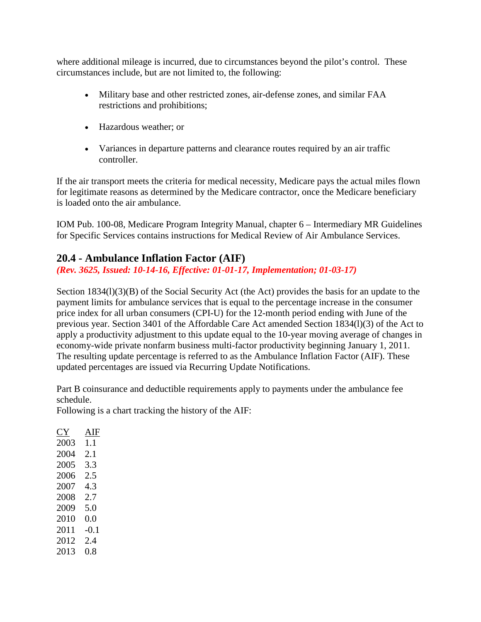where additional mileage is incurred, due to circumstances beyond the pilot's control. These circumstances include, but are not limited to, the following:

- Military base and other restricted zones, air-defense zones, and similar FAA restrictions and prohibitions;
- Hazardous weather; or
- Variances in departure patterns and clearance routes required by an air traffic controller.

If the air transport meets the criteria for medical necessity, Medicare pays the actual miles flown for legitimate reasons as determined by the Medicare contractor, once the Medicare beneficiary is loaded onto the air ambulance.

IOM Pub. 100-08, Medicare Program Integrity Manual, chapter 6 – Intermediary MR Guidelines for Specific Services contains instructions for Medical Review of Air Ambulance Services.

# <span id="page-22-0"></span>**20.4 - Ambulance Inflation Factor (AIF)**

# *(Rev. 3625, Issued: 10-14-16, Effective: 01-01-17, Implementation; 01-03-17)*

Section 1834(l)(3)(B) of the Social Security Act (the Act) provides the basis for an update to the payment limits for ambulance services that is equal to the percentage increase in the consumer price index for all urban consumers (CPI-U) for the 12-month period ending with June of the previous year. Section 3401 of the Affordable Care Act amended Section 1834(l)(3) of the Act to apply a productivity adjustment to this update equal to the 10-year moving average of changes in economy-wide private nonfarm business multi-factor productivity beginning January 1, 2011. The resulting update percentage is referred to as the Ambulance Inflation Factor (AIF). These updated percentages are issued via Recurring Update Notifications.

Part B coinsurance and deductible requirements apply to payments under the ambulance fee schedule.

Following is a chart tracking the history of the AIF:

CY AIF 2003 1.1 2004 2.1 2005 3.3 2006 2.5 2007 4.3 2008 2.7 2009 5.0 2010 0.0  $2011 - 0.1$ 2012 2.4 2013 0.8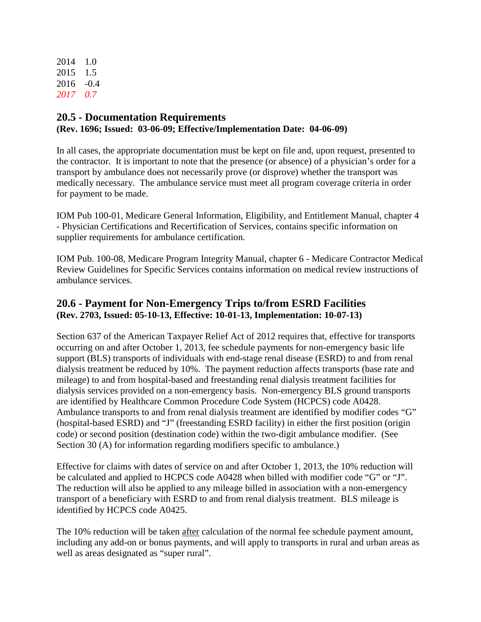2014 1.0 2015 1.5 2016 -0.4 *2017 0.7*

# <span id="page-23-0"></span>**20.5 - Documentation Requirements**

# **(Rev. 1696; Issued: 03-06-09; Effective/Implementation Date: 04-06-09)**

In all cases, the appropriate documentation must be kept on file and, upon request, presented to the contractor. It is important to note that the presence (or absence) of a physician's order for a transport by ambulance does not necessarily prove (or disprove) whether the transport was medically necessary. The ambulance service must meet all program coverage criteria in order for payment to be made.

IOM Pub 100-01, Medicare General Information, Eligibility, and Entitlement Manual, chapter 4 - Physician Certifications and Recertification of Services, contains specific information on supplier requirements for ambulance certification.

IOM Pub. 100-08, Medicare Program Integrity Manual, chapter 6 - Medicare Contractor Medical Review Guidelines for Specific Services contains information on medical review instructions of ambulance services.

# <span id="page-23-1"></span>**20.6 - Payment for Non-Emergency Trips to/from ESRD Facilities (Rev. 2703, Issued: 05-10-13, Effective: 10-01-13, Implementation: 10-07-13)**

Section 637 of the American Taxpayer Relief Act of 2012 requires that, effective for transports occurring on and after October 1, 2013, fee schedule payments for non-emergency basic life support (BLS) transports of individuals with end-stage renal disease (ESRD) to and from renal dialysis treatment be reduced by 10%. The payment reduction affects transports (base rate and mileage) to and from hospital-based and freestanding renal dialysis treatment facilities for dialysis services provided on a non-emergency basis. Non-emergency BLS ground transports are identified by Healthcare Common Procedure Code System (HCPCS) code A0428. Ambulance transports to and from renal dialysis treatment are identified by modifier codes "G" (hospital-based ESRD) and "J" (freestanding ESRD facility) in either the first position (origin code) or second position (destination code) within the two-digit ambulance modifier. (See Section 30 (A) for information regarding modifiers specific to ambulance.)

Effective for claims with dates of service on and after October 1, 2013, the 10% reduction will be calculated and applied to HCPCS code A0428 when billed with modifier code "G" or "J". The reduction will also be applied to any mileage billed in association with a non-emergency transport of a beneficiary with ESRD to and from renal dialysis treatment. BLS mileage is identified by HCPCS code A0425.

The 10% reduction will be taken after calculation of the normal fee schedule payment amount, including any add-on or bonus payments, and will apply to transports in rural and urban areas as well as areas designated as "super rural".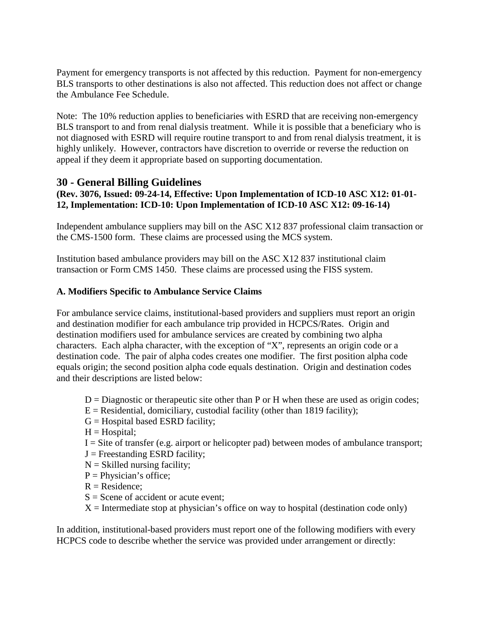Payment for emergency transports is not affected by this reduction. Payment for non-emergency BLS transports to other destinations is also not affected. This reduction does not affect or change the Ambulance Fee Schedule.

Note: The 10% reduction applies to beneficiaries with ESRD that are receiving non-emergency BLS transport to and from renal dialysis treatment. While it is possible that a beneficiary who is not diagnosed with ESRD will require routine transport to and from renal dialysis treatment, it is highly unlikely. However, contractors have discretion to override or reverse the reduction on appeal if they deem it appropriate based on supporting documentation.

## <span id="page-24-0"></span>**30 - General Billing Guidelines**

### **(Rev. 3076, Issued: 09-24-14, Effective: Upon Implementation of ICD-10 ASC X12: 01-01- 12, Implementation: ICD-10: Upon Implementation of ICD-10 ASC X12: 09-16-14)**

Independent ambulance suppliers may bill on the ASC X12 837 professional claim transaction or the CMS-1500 form. These claims are processed using the MCS system.

Institution based ambulance providers may bill on the ASC X12 837 institutional claim transaction or Form CMS 1450. These claims are processed using the FISS system.

### **A. Modifiers Specific to Ambulance Service Claims**

For ambulance service claims, institutional-based providers and suppliers must report an origin and destination modifier for each ambulance trip provided in HCPCS/Rates. Origin and destination modifiers used for ambulance services are created by combining two alpha characters. Each alpha character, with the exception of "X", represents an origin code or a destination code. The pair of alpha codes creates one modifier. The first position alpha code equals origin; the second position alpha code equals destination. Origin and destination codes and their descriptions are listed below:

- $D =$  Diagnostic or therapeutic site other than P or H when these are used as origin codes;
- $E =$  Residential, domiciliary, custodial facility (other than 1819 facility);
- $G =$  Hospital based ESRD facility;
- $H = Hospital;$
- $I =$  Site of transfer (e.g. airport or helicopter pad) between modes of ambulance transport;
- $J =$  Freestanding ESRD facility;
- $N =$  Skilled nursing facility;
- $P =$ Physician's office;
- $R =$  Residence:
- $S =$  Scene of accident or acute event;
- $X =$  Intermediate stop at physician's office on way to hospital (destination code only)

In addition, institutional-based providers must report one of the following modifiers with every HCPCS code to describe whether the service was provided under arrangement or directly: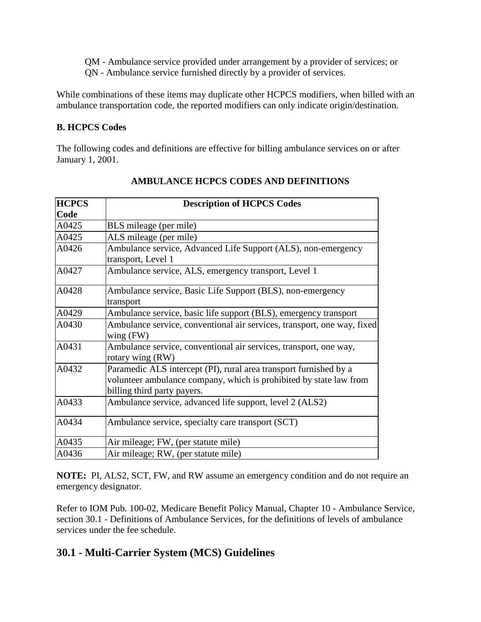QM - Ambulance service provided under arrangement by a provider of services; or QN - Ambulance service furnished directly by a provider of services.

While combinations of these items may duplicate other HCPCS modifiers, when billed with an ambulance transportation code, the reported modifiers can only indicate origin/destination.

### **B. HCPCS Codes**

The following codes and definitions are effective for billing ambulance services on or after January 1, 2001.

| <b>HCPCS</b> | <b>Description of HCPCS Codes</b>                                       |  |  |  |  |
|--------------|-------------------------------------------------------------------------|--|--|--|--|
| Code         |                                                                         |  |  |  |  |
| A0425        | BLS mileage (per mile)                                                  |  |  |  |  |
| A0425        | ALS mileage (per mile)                                                  |  |  |  |  |
| A0426        | Ambulance service, Advanced Life Support (ALS), non-emergency           |  |  |  |  |
|              | transport, Level 1                                                      |  |  |  |  |
| A0427        | Ambulance service, ALS, emergency transport, Level 1                    |  |  |  |  |
| A0428        | Ambulance service, Basic Life Support (BLS), non-emergency              |  |  |  |  |
|              | transport                                                               |  |  |  |  |
| A0429        | Ambulance service, basic life support (BLS), emergency transport        |  |  |  |  |
| A0430        | Ambulance service, conventional air services, transport, one way, fixed |  |  |  |  |
|              | $wing$ (FW)                                                             |  |  |  |  |
| A0431        | Ambulance service, conventional air services, transport, one way,       |  |  |  |  |
|              | rotary wing (RW)                                                        |  |  |  |  |
| A0432        | Paramedic ALS intercept (PI), rural area transport furnished by a       |  |  |  |  |
|              | volunteer ambulance company, which is prohibited by state law from      |  |  |  |  |
|              | billing third party payers.                                             |  |  |  |  |
| A0433        | Ambulance service, advanced life support, level 2 (ALS2)                |  |  |  |  |
| A0434        | Ambulance service, specialty care transport (SCT)                       |  |  |  |  |
| A0435        | Air mileage; FW, (per statute mile)                                     |  |  |  |  |
| A0436        | Air mileage; RW, (per statute mile)                                     |  |  |  |  |

## **AMBULANCE HCPCS CODES AND DEFINITIONS**

**NOTE:** PI, ALS2, SCT, FW, and RW assume an emergency condition and do not require an emergency designator.

Refer to IOM Pub. 100-02, Medicare Benefit Policy Manual, Chapter 10 - Ambulance Service, section 30.1 - Definitions of Ambulance Services, for the definitions of levels of ambulance services under the fee schedule.

# <span id="page-25-0"></span>**30.1 - Multi-Carrier System (MCS) Guidelines**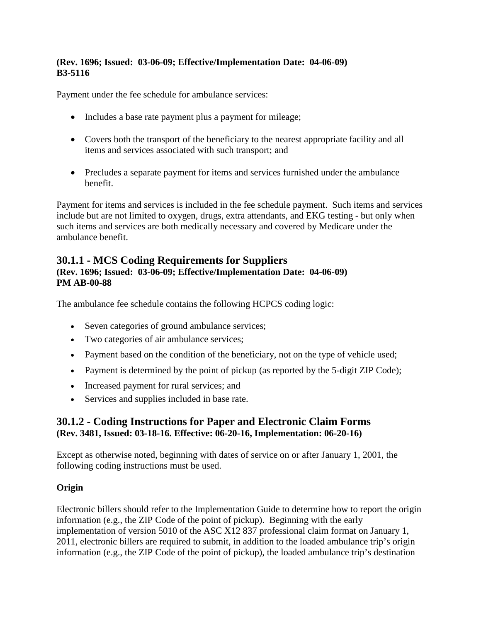## **(Rev. 1696; Issued: 03-06-09; Effective/Implementation Date: 04-06-09) B3-5116**

Payment under the fee schedule for ambulance services:

- Includes a base rate payment plus a payment for mileage;
- Covers both the transport of the beneficiary to the nearest appropriate facility and all items and services associated with such transport; and
- Precludes a separate payment for items and services furnished under the ambulance benefit.

Payment for items and services is included in the fee schedule payment. Such items and services include but are not limited to oxygen, drugs, extra attendants, and EKG testing - but only when such items and services are both medically necessary and covered by Medicare under the ambulance benefit.

# **30.1.1 - MCS Coding Requirements for Suppliers (Rev. 1696; Issued: 03-06-09; Effective/Implementation Date: 04-06-09) PM AB-00-88**

The ambulance fee schedule contains the following HCPCS coding logic:

- Seven categories of ground ambulance services;
- Two categories of air ambulance services;
- Payment based on the condition of the beneficiary, not on the type of vehicle used;
- Payment is determined by the point of pickup (as reported by the 5-digit ZIP Code);
- Increased payment for rural services; and
- Services and supplies included in base rate.

# <span id="page-26-0"></span>**30.1.2 - Coding Instructions for Paper and Electronic Claim Forms (Rev. 3481, Issued: 03-18-16. Effective: 06-20-16, Implementation: 06-20-16)**

Except as otherwise noted, beginning with dates of service on or after January 1, 2001, the following coding instructions must be used.

# **Origin**

Electronic billers should refer to the Implementation Guide to determine how to report the origin information (e.g., the ZIP Code of the point of pickup). Beginning with the early implementation of version 5010 of the ASC X12 837 professional claim format on January 1, 2011, electronic billers are required to submit, in addition to the loaded ambulance trip's origin information (e.g., the ZIP Code of the point of pickup), the loaded ambulance trip's destination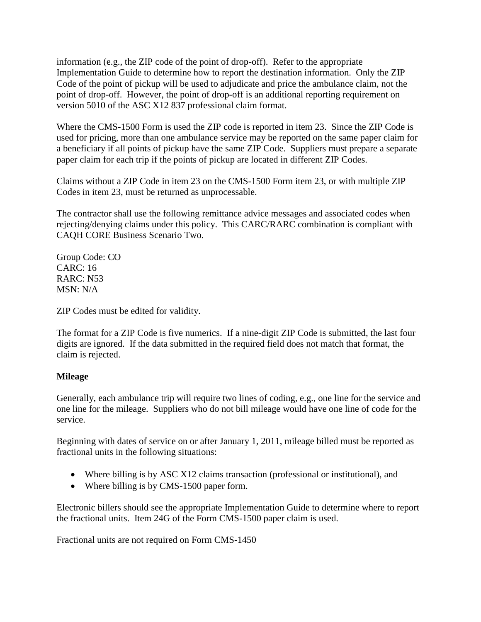information (e.g., the ZIP code of the point of drop-off). Refer to the appropriate Implementation Guide to determine how to report the destination information. Only the ZIP Code of the point of pickup will be used to adjudicate and price the ambulance claim, not the point of drop-off. However, the point of drop-off is an additional reporting requirement on version 5010 of the ASC X12 837 professional claim format.

Where the CMS-1500 Form is used the ZIP code is reported in item 23. Since the ZIP Code is used for pricing, more than one ambulance service may be reported on the same paper claim for a beneficiary if all points of pickup have the same ZIP Code. Suppliers must prepare a separate paper claim for each trip if the points of pickup are located in different ZIP Codes.

Claims without a ZIP Code in item 23 on the CMS-1500 Form item 23, or with multiple ZIP Codes in item 23, must be returned as unprocessable.

The contractor shall use the following remittance advice messages and associated codes when rejecting/denying claims under this policy. This CARC/RARC combination is compliant with CAQH CORE Business Scenario Two.

Group Code: CO CARC: 16 RARC: N53 MSN: N/A

ZIP Codes must be edited for validity.

The format for a ZIP Code is five numerics. If a nine-digit ZIP Code is submitted, the last four digits are ignored. If the data submitted in the required field does not match that format, the claim is rejected.

# **Mileage**

Generally, each ambulance trip will require two lines of coding, e.g., one line for the service and one line for the mileage. Suppliers who do not bill mileage would have one line of code for the service.

Beginning with dates of service on or after January 1, 2011, mileage billed must be reported as fractional units in the following situations:

- Where billing is by ASC X12 claims transaction (professional or institutional), and
- Where billing is by CMS-1500 paper form.

Electronic billers should see the appropriate Implementation Guide to determine where to report the fractional units. Item 24G of the Form CMS-1500 paper claim is used.

Fractional units are not required on Form CMS-1450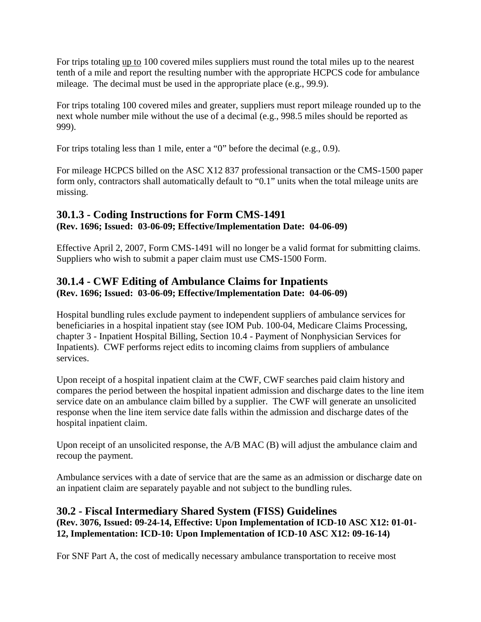For trips totaling up to 100 covered miles suppliers must round the total miles up to the nearest tenth of a mile and report the resulting number with the appropriate HCPCS code for ambulance mileage. The decimal must be used in the appropriate place (e.g., 99.9).

For trips totaling 100 covered miles and greater, suppliers must report mileage rounded up to the next whole number mile without the use of a decimal (e.g., 998.5 miles should be reported as 999).

For trips totaling less than 1 mile, enter a "0" before the decimal (e.g., 0.9).

For mileage HCPCS billed on the ASC X12 837 professional transaction or the CMS-1500 paper form only, contractors shall automatically default to "0.1" units when the total mileage units are missing.

# <span id="page-28-0"></span>**30.1.3 - Coding Instructions for Form CMS-1491 (Rev. 1696; Issued: 03-06-09; Effective/Implementation Date: 04-06-09)**

Effective April 2, 2007, Form CMS-1491 will no longer be a valid format for submitting claims. Suppliers who wish to submit a paper claim must use CMS-1500 Form.

# <span id="page-28-1"></span>**30.1.4 - CWF Editing of Ambulance Claims for Inpatients (Rev. 1696; Issued: 03-06-09; Effective/Implementation Date: 04-06-09)**

Hospital bundling rules exclude payment to independent suppliers of ambulance services for beneficiaries in a hospital inpatient stay (see IOM Pub. 100-04, Medicare Claims Processing, chapter 3 - Inpatient Hospital Billing, Section 10.4 - Payment of Nonphysician Services for Inpatients). CWF performs reject edits to incoming claims from suppliers of ambulance services.

Upon receipt of a hospital inpatient claim at the CWF, CWF searches paid claim history and compares the period between the hospital inpatient admission and discharge dates to the line item service date on an ambulance claim billed by a supplier. The CWF will generate an unsolicited response when the line item service date falls within the admission and discharge dates of the hospital inpatient claim.

Upon receipt of an unsolicited response, the A/B MAC (B) will adjust the ambulance claim and recoup the payment.

Ambulance services with a date of service that are the same as an admission or discharge date on an inpatient claim are separately payable and not subject to the bundling rules.

# <span id="page-28-2"></span>**30.2 - Fiscal Intermediary Shared System (FISS) Guidelines (Rev. 3076, Issued: 09-24-14, Effective: Upon Implementation of ICD-10 ASC X12: 01-01- 12, Implementation: ICD-10: Upon Implementation of ICD-10 ASC X12: 09-16-14)**

For SNF Part A, the cost of medically necessary ambulance transportation to receive most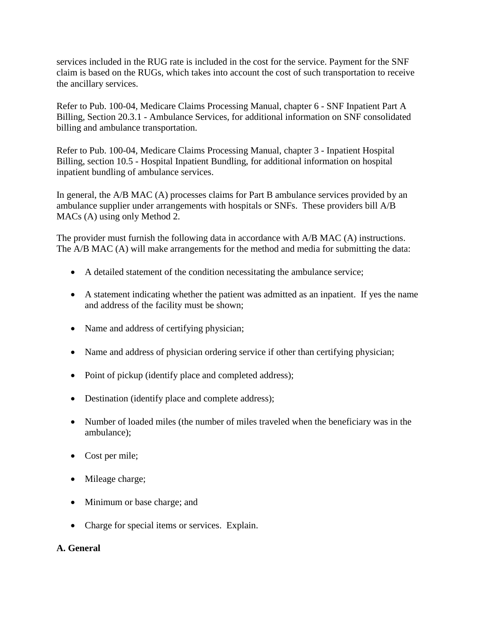services included in the RUG rate is included in the cost for the service. Payment for the SNF claim is based on the RUGs, which takes into account the cost of such transportation to receive the ancillary services.

Refer to Pub. 100-04, Medicare Claims Processing Manual, chapter 6 - SNF Inpatient Part A Billing, Section 20.3.1 - Ambulance Services, for additional information on SNF consolidated billing and ambulance transportation.

Refer to Pub. 100-04, Medicare Claims Processing Manual, chapter 3 - Inpatient Hospital Billing, section 10.5 - Hospital Inpatient Bundling, for additional information on hospital inpatient bundling of ambulance services.

In general, the A/B MAC (A) processes claims for Part B ambulance services provided by an ambulance supplier under arrangements with hospitals or SNFs. These providers bill A/B MACs (A) using only Method 2.

The provider must furnish the following data in accordance with A/B MAC (A) instructions. The A/B MAC (A) will make arrangements for the method and media for submitting the data:

- A detailed statement of the condition necessitating the ambulance service;
- A statement indicating whether the patient was admitted as an inpatient. If yes the name and address of the facility must be shown;
- Name and address of certifying physician;
- Name and address of physician ordering service if other than certifying physician;
- Point of pickup (identify place and completed address);
- Destination (identify place and complete address);
- Number of loaded miles (the number of miles traveled when the beneficiary was in the ambulance);
- Cost per mile;
- Mileage charge;
- Minimum or base charge; and
- Charge for special items or services. Explain.

### **A. General**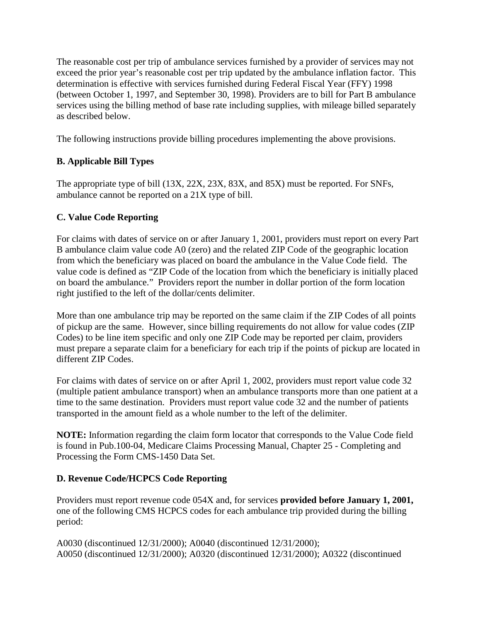The reasonable cost per trip of ambulance services furnished by a provider of services may not exceed the prior year's reasonable cost per trip updated by the ambulance inflation factor. This determination is effective with services furnished during Federal Fiscal Year (FFY) 1998 (between October 1, 1997, and September 30, 1998). Providers are to bill for Part B ambulance services using the billing method of base rate including supplies, with mileage billed separately as described below.

The following instructions provide billing procedures implementing the above provisions.

# **B. Applicable Bill Types**

The appropriate type of bill (13X, 22X, 23X, 83X, and 85X) must be reported. For SNFs, ambulance cannot be reported on a 21X type of bill.

# **C. Value Code Reporting**

For claims with dates of service on or after January 1, 2001, providers must report on every Part B ambulance claim value code A0 (zero) and the related ZIP Code of the geographic location from which the beneficiary was placed on board the ambulance in the Value Code field. The value code is defined as "ZIP Code of the location from which the beneficiary is initially placed on board the ambulance." Providers report the number in dollar portion of the form location right justified to the left of the dollar/cents delimiter.

More than one ambulance trip may be reported on the same claim if the ZIP Codes of all points of pickup are the same. However, since billing requirements do not allow for value codes (ZIP Codes) to be line item specific and only one ZIP Code may be reported per claim, providers must prepare a separate claim for a beneficiary for each trip if the points of pickup are located in different ZIP Codes.

For claims with dates of service on or after April 1, 2002, providers must report value code 32 (multiple patient ambulance transport) when an ambulance transports more than one patient at a time to the same destination. Providers must report value code 32 and the number of patients transported in the amount field as a whole number to the left of the delimiter.

**NOTE:** Information regarding the claim form locator that corresponds to the Value Code field is found in Pub.100-04, Medicare Claims Processing Manual, Chapter 25 - Completing and Processing the Form CMS-1450 Data Set.

# **D. Revenue Code/HCPCS Code Reporting**

Providers must report revenue code 054X and, for services **provided before January 1, 2001,**  one of the following CMS HCPCS codes for each ambulance trip provided during the billing period:

A0030 (discontinued 12/31/2000); A0040 (discontinued 12/31/2000); A0050 (discontinued 12/31/2000); A0320 (discontinued 12/31/2000); A0322 (discontinued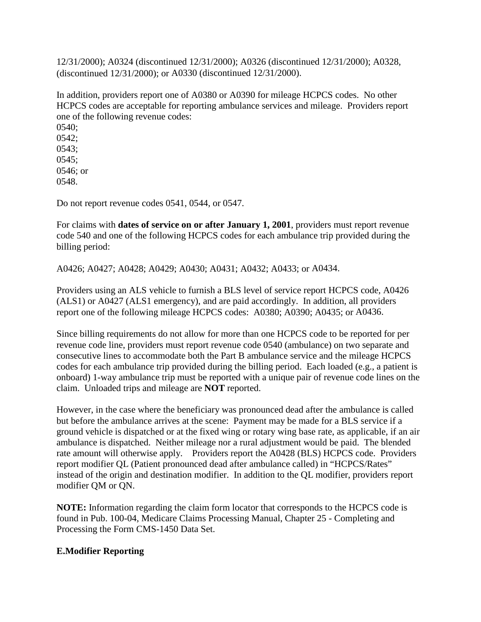12/31/2000); A0324 (discontinued 12/31/2000); A0326 (discontinued 12/31/2000); A0328, (discontinued 12/31/2000); or A0330 (discontinued 12/31/2000).

In addition, providers report one of A0380 or A0390 for mileage HCPCS codes. No other HCPCS codes are acceptable for reporting ambulance services and mileage. Providers report one of the following revenue codes: 0540;

0542; 0543; 0545; 0546; or 0548.

Do not report revenue codes 0541, 0544, or 0547.

For claims with **dates of service on or after January 1, 2001**, providers must report revenue code 540 and one of the following HCPCS codes for each ambulance trip provided during the billing period:

A0426; A0427; A0428; A0429; A0430; A0431; A0432; A0433; or A0434.

Providers using an ALS vehicle to furnish a BLS level of service report HCPCS code, A0426 (ALS1) or A0427 (ALS1 emergency), and are paid accordingly. In addition, all providers report one of the following mileage HCPCS codes: A0380; A0390; A0435; or A0436.

Since billing requirements do not allow for more than one HCPCS code to be reported for per revenue code line, providers must report revenue code 0540 (ambulance) on two separate and consecutive lines to accommodate both the Part B ambulance service and the mileage HCPCS codes for each ambulance trip provided during the billing period. Each loaded (e.g., a patient is onboard) 1-way ambulance trip must be reported with a unique pair of revenue code lines on the claim. Unloaded trips and mileage are **NOT** reported.

However, in the case where the beneficiary was pronounced dead after the ambulance is called but before the ambulance arrives at the scene: Payment may be made for a BLS service if a ground vehicle is dispatched or at the fixed wing or rotary wing base rate, as applicable, if an air ambulance is dispatched. Neither mileage nor a rural adjustment would be paid. The blended rate amount will otherwise apply. Providers report the A0428 (BLS) HCPCS code. Providers report modifier QL (Patient pronounced dead after ambulance called) in "HCPCS/Rates" instead of the origin and destination modifier. In addition to the QL modifier, providers report modifier QM or QN.

**NOTE:** Information regarding the claim form locator that corresponds to the HCPCS code is found in Pub. 100-04, Medicare Claims Processing Manual, Chapter 25 - Completing and Processing the Form CMS-1450 Data Set.

# **E.Modifier Reporting**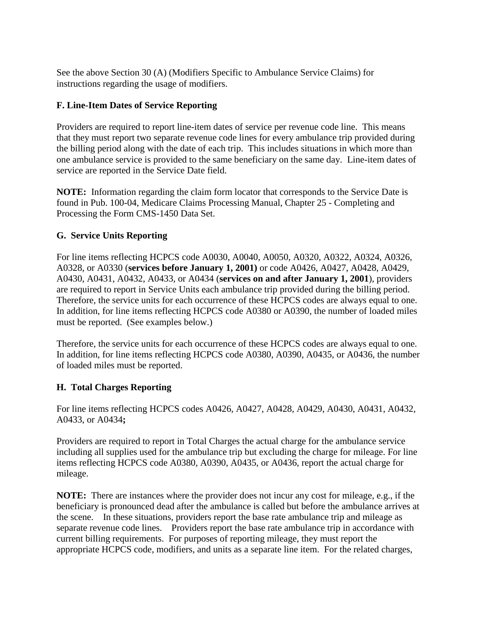See the above Section 30 (A) (Modifiers Specific to Ambulance Service Claims) for instructions regarding the usage of modifiers.

### **F. Line-Item Dates of Service Reporting**

Providers are required to report line-item dates of service per revenue code line. This means that they must report two separate revenue code lines for every ambulance trip provided during the billing period along with the date of each trip. This includes situations in which more than one ambulance service is provided to the same beneficiary on the same day. Line-item dates of service are reported in the Service Date field.

**NOTE:** Information regarding the claim form locator that corresponds to the Service Date is found in Pub. 100-04, Medicare Claims Processing Manual, Chapter 25 - Completing and Processing the Form CMS-1450 Data Set.

# **G. Service Units Reporting**

For line items reflecting HCPCS code A0030, A0040, A0050, A0320, A0322, A0324, A0326, A0328, or A0330 (**services before January 1, 2001)** or code A0426, A0427, A0428, A0429, A0430, A0431, A0432, A0433, or A0434 (**services on and after January 1, 2001**), providers are required to report in Service Units each ambulance trip provided during the billing period. Therefore, the service units for each occurrence of these HCPCS codes are always equal to one. In addition, for line items reflecting HCPCS code A0380 or A0390, the number of loaded miles must be reported. (See examples below.)

Therefore, the service units for each occurrence of these HCPCS codes are always equal to one. In addition, for line items reflecting HCPCS code A0380, A0390, A0435, or A0436, the number of loaded miles must be reported.

# **H. Total Charges Reporting**

For line items reflecting HCPCS codes A0426, A0427, A0428, A0429, A0430, A0431, A0432, A0433, or A0434**;**

Providers are required to report in Total Charges the actual charge for the ambulance service including all supplies used for the ambulance trip but excluding the charge for mileage. For line items reflecting HCPCS code A0380, A0390, A0435, or A0436, report the actual charge for mileage.

**NOTE:** There are instances where the provider does not incur any cost for mileage, e.g., if the beneficiary is pronounced dead after the ambulance is called but before the ambulance arrives at the scene. In these situations, providers report the base rate ambulance trip and mileage as separate revenue code lines. Providers report the base rate ambulance trip in accordance with current billing requirements. For purposes of reporting mileage, they must report the appropriate HCPCS code, modifiers, and units as a separate line item. For the related charges,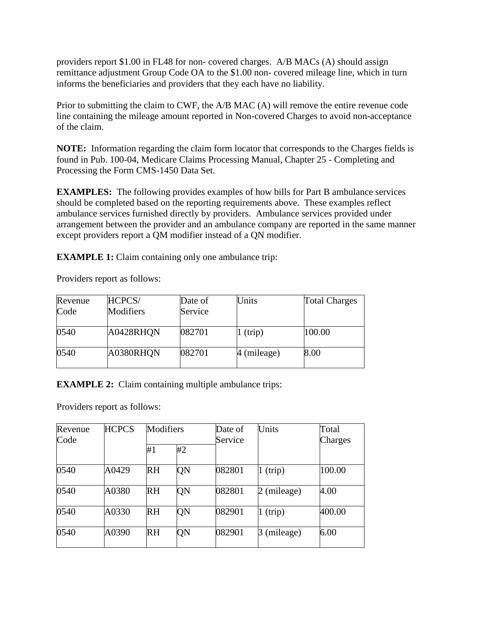providers report \$1.00 in FL48 for non- covered charges. A/B MACs (A) should assign remittance adjustment Group Code OA to the \$1.00 non- covered mileage line, which in turn informs the beneficiaries and providers that they each have no liability.

Prior to submitting the claim to CWF, the A/B MAC (A) will remove the entire revenue code line containing the mileage amount reported in Non-covered Charges to avoid non-acceptance of the claim.

**NOTE:** Information regarding the claim form locator that corresponds to the Charges fields is found in Pub. 100-04, Medicare Claims Processing Manual, Chapter 25 - Completing and Processing the Form CMS-1450 Data Set.

**EXAMPLES:** The following provides examples of how bills for Part B ambulance services should be completed based on the reporting requirements above. These examples reflect ambulance services furnished directly by providers. Ambulance services provided under arrangement between the provider and an ambulance company are reported in the same manner except providers report a QM modifier instead of a QN modifier.

**EXAMPLE 1:** Claim containing only one ambulance trip:

| Revenue<br>Code | HCPCS/<br>Modifiers | Date of<br>Service | Units     | <b>Total Charges</b> |
|-----------------|---------------------|--------------------|-----------|----------------------|
| 0540            | A0428RHON           | 082701             | (trip)    | 100.00               |
| 0540            | A0380RHON           | 082701             | (mileage) | 8.00                 |

Providers report as follows:

**EXAMPLE 2:** Claim containing multiple ambulance trips:

Providers report as follows:

| <b>HCPCS</b><br>Revenue<br>Code |       | Modifiers      |    | Date of<br>Service | Units                 | Total<br>Charges |
|---------------------------------|-------|----------------|----|--------------------|-----------------------|------------------|
|                                 |       | #1             | #2 |                    |                       |                  |
| 0540                            | A0429 | RH             | QN | 082801             | (trip)                | 100.00           |
| 0540                            | A0380 | R <sub>H</sub> | QN | 082801             | $2 \text{ (mileage)}$ | 4.00             |
| 0540                            | A0330 | R <sub>H</sub> | QN | 082901             | (trip)                | 400.00           |
| 0540                            | A0390 | RH             | QN | 082901             | (mileage)<br>ß.       | 6.00             |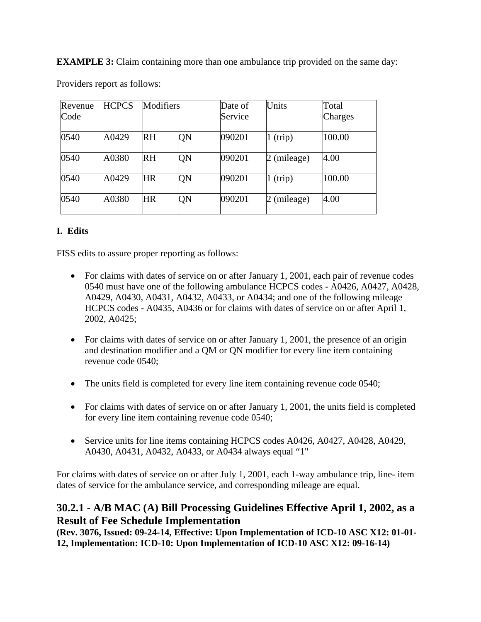**EXAMPLE 3:** Claim containing more than one ambulance trip provided on the same day:

| Revenue | <b>HCPCS</b> | Modifiers |    | Date of | Units       | Total   |
|---------|--------------|-----------|----|---------|-------------|---------|
| Code    |              |           |    | Service |             | Charges |
| 0540    | A0429        | RH        | QN | 090201  | (trip)      | 100.00  |
| 0540    | A0380        | RH        | QN | 090201  | 2 (mileage) | 4.00    |
| 0540    | A0429        | <b>HR</b> | QN | 090201  | (trip)      | 100.00  |
| 0540    | A0380        | <b>HR</b> | QN | 090201  | 2 (mileage) | 4.00    |

Providers report as follows:

# **I. Edits**

FISS edits to assure proper reporting as follows:

- For claims with dates of service on or after January 1, 2001, each pair of revenue codes 0540 must have one of the following ambulance HCPCS codes - A0426, A0427, A0428, A0429, A0430, A0431, A0432, A0433, or A0434; and one of the following mileage HCPCS codes - A0435, A0436 or for claims with dates of service on or after April 1, 2002, A0425;
- For claims with dates of service on or after January 1, 2001, the presence of an origin and destination modifier and a QM or QN modifier for every line item containing revenue code 0540;
- The units field is completed for every line item containing revenue code 0540;
- For claims with dates of service on or after January 1, 2001, the units field is completed for every line item containing revenue code 0540;
- Service units for line items containing HCPCS codes A0426, A0427, A0428, A0429, A0430, A0431, A0432, A0433, or A0434 always equal "1"

For claims with dates of service on or after July 1, 2001, each 1-way ambulance trip, line- item dates of service for the ambulance service, and corresponding mileage are equal.

# <span id="page-34-0"></span>**30.2.1 - A/B MAC (A) Bill Processing Guidelines Effective April 1, 2002, as a Result of Fee Schedule Implementation**

**(Rev. 3076, Issued: 09-24-14, Effective: Upon Implementation of ICD-10 ASC X12: 01-01- 12, Implementation: ICD-10: Upon Implementation of ICD-10 ASC X12: 09-16-14)**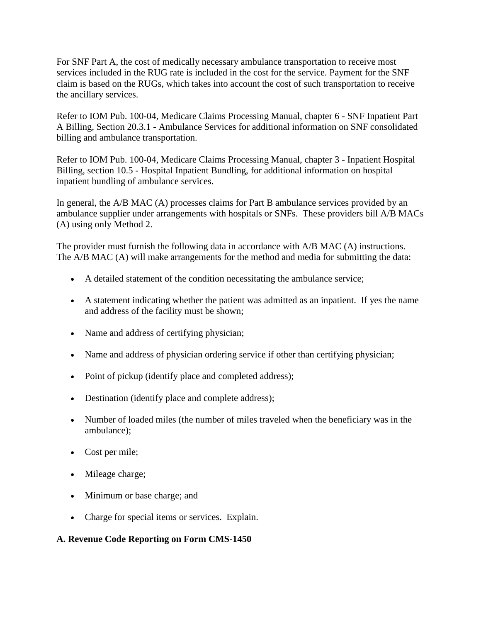For SNF Part A, the cost of medically necessary ambulance transportation to receive most services included in the RUG rate is included in the cost for the service. Payment for the SNF claim is based on the RUGs, which takes into account the cost of such transportation to receive the ancillary services.

Refer to IOM Pub. 100-04, Medicare Claims Processing Manual, chapter 6 - SNF Inpatient Part A Billing, Section 20.3.1 - Ambulance Services for additional information on SNF consolidated billing and ambulance transportation.

Refer to IOM Pub. 100-04, Medicare Claims Processing Manual, chapter 3 - Inpatient Hospital Billing, section 10.5 - Hospital Inpatient Bundling, for additional information on hospital inpatient bundling of ambulance services.

In general, the A/B MAC (A) processes claims for Part B ambulance services provided by an ambulance supplier under arrangements with hospitals or SNFs. These providers bill A/B MACs (A) using only Method 2.

The provider must furnish the following data in accordance with A/B MAC (A) instructions. The A/B MAC (A) will make arrangements for the method and media for submitting the data:

- A detailed statement of the condition necessitating the ambulance service;
- A statement indicating whether the patient was admitted as an inpatient. If yes the name and address of the facility must be shown;
- Name and address of certifying physician;
- Name and address of physician ordering service if other than certifying physician;
- Point of pickup (identify place and completed address);
- Destination (identify place and complete address);
- Number of loaded miles (the number of miles traveled when the beneficiary was in the ambulance);
- Cost per mile;
- Mileage charge;
- Minimum or base charge; and
- Charge for special items or services. Explain.

### **A. Revenue Code Reporting on Form CMS-1450**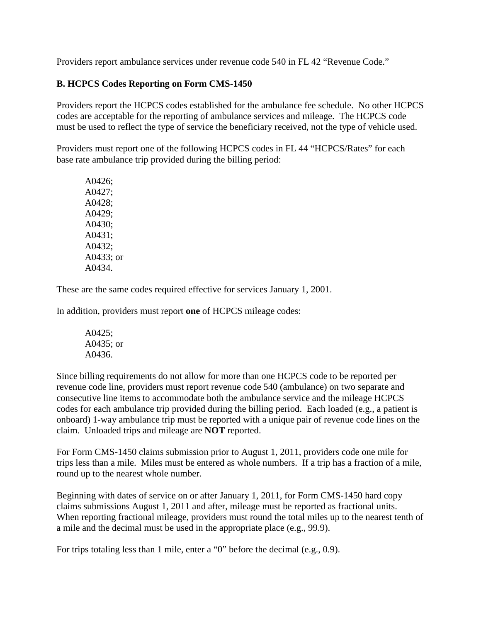Providers report ambulance services under revenue code 540 in FL 42 "Revenue Code."

### **B. HCPCS Codes Reporting on Form CMS-1450**

Providers report the HCPCS codes established for the ambulance fee schedule. No other HCPCS codes are acceptable for the reporting of ambulance services and mileage. The HCPCS code must be used to reflect the type of service the beneficiary received, not the type of vehicle used.

Providers must report one of the following HCPCS codes in FL 44 "HCPCS/Rates" for each base rate ambulance trip provided during the billing period:

A0426; A0427; A0428; A0429; A0430; A0431; A0432; A0433; or A0434.

These are the same codes required effective for services January 1, 2001.

In addition, providers must report **one** of HCPCS mileage codes:

A0425; A0435; or A0436.

Since billing requirements do not allow for more than one HCPCS code to be reported per revenue code line, providers must report revenue code 540 (ambulance) on two separate and consecutive line items to accommodate both the ambulance service and the mileage HCPCS codes for each ambulance trip provided during the billing period. Each loaded (e.g., a patient is onboard) 1-way ambulance trip must be reported with a unique pair of revenue code lines on the claim. Unloaded trips and mileage are **NOT** reported.

For Form CMS-1450 claims submission prior to August 1, 2011, providers code one mile for trips less than a mile. Miles must be entered as whole numbers. If a trip has a fraction of a mile, round up to the nearest whole number.

Beginning with dates of service on or after January 1, 2011, for Form CMS-1450 hard copy claims submissions August 1, 2011 and after, mileage must be reported as fractional units. When reporting fractional mileage, providers must round the total miles up to the nearest tenth of a mile and the decimal must be used in the appropriate place (e.g., 99.9).

For trips totaling less than 1 mile, enter a "0" before the decimal (e.g., 0.9).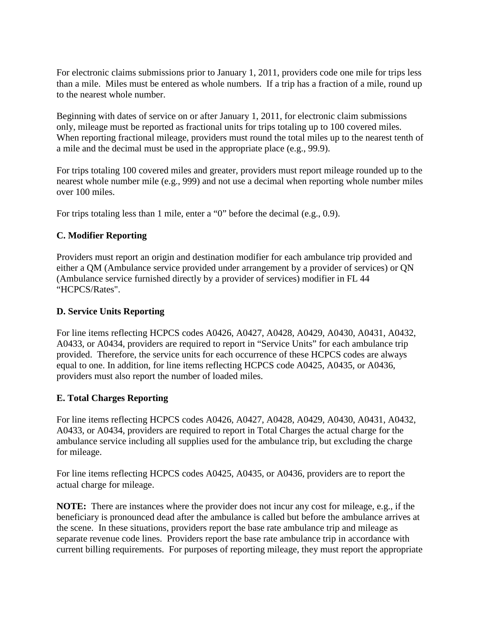For electronic claims submissions prior to January 1, 2011, providers code one mile for trips less than a mile. Miles must be entered as whole numbers. If a trip has a fraction of a mile, round up to the nearest whole number.

Beginning with dates of service on or after January 1, 2011, for electronic claim submissions only, mileage must be reported as fractional units for trips totaling up to 100 covered miles. When reporting fractional mileage, providers must round the total miles up to the nearest tenth of a mile and the decimal must be used in the appropriate place (e.g., 99.9).

For trips totaling 100 covered miles and greater, providers must report mileage rounded up to the nearest whole number mile (e.g., 999) and not use a decimal when reporting whole number miles over 100 miles.

For trips totaling less than 1 mile, enter a "0" before the decimal (e.g., 0.9).

### **C. Modifier Reporting**

Providers must report an origin and destination modifier for each ambulance trip provided and either a QM (Ambulance service provided under arrangement by a provider of services) or QN (Ambulance service furnished directly by a provider of services) modifier in FL 44 "HCPCS/Rates".

### **D. Service Units Reporting**

For line items reflecting HCPCS codes A0426, A0427, A0428, A0429, A0430, A0431, A0432, A0433, or A0434, providers are required to report in "Service Units" for each ambulance trip provided. Therefore, the service units for each occurrence of these HCPCS codes are always equal to one. In addition, for line items reflecting HCPCS code A0425, A0435, or A0436, providers must also report the number of loaded miles.

### **E. Total Charges Reporting**

For line items reflecting HCPCS codes A0426, A0427, A0428, A0429, A0430, A0431, A0432, A0433, or A0434, providers are required to report in Total Charges the actual charge for the ambulance service including all supplies used for the ambulance trip, but excluding the charge for mileage.

For line items reflecting HCPCS codes A0425, A0435, or A0436, providers are to report the actual charge for mileage.

**NOTE:** There are instances where the provider does not incur any cost for mileage, e.g., if the beneficiary is pronounced dead after the ambulance is called but before the ambulance arrives at the scene. In these situations, providers report the base rate ambulance trip and mileage as separate revenue code lines. Providers report the base rate ambulance trip in accordance with current billing requirements. For purposes of reporting mileage, they must report the appropriate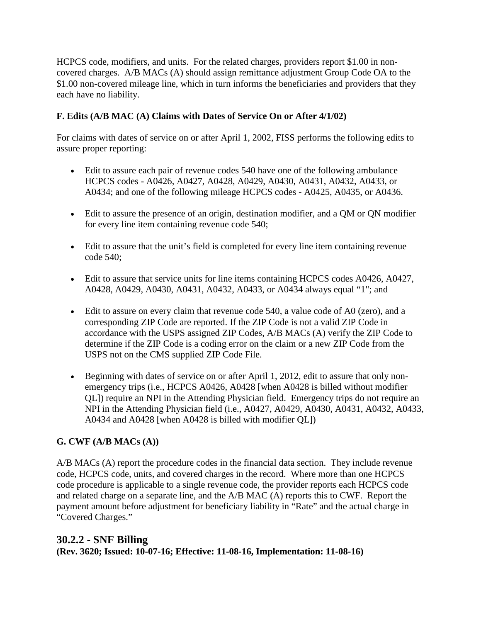HCPCS code, modifiers, and units. For the related charges, providers report \$1.00 in noncovered charges. A/B MACs (A) should assign remittance adjustment Group Code OA to the \$1.00 non-covered mileage line, which in turn informs the beneficiaries and providers that they each have no liability.

# **F. Edits (A/B MAC (A) Claims with Dates of Service On or After 4/1/02)**

For claims with dates of service on or after April 1, 2002, FISS performs the following edits to assure proper reporting:

- Edit to assure each pair of revenue codes 540 have one of the following ambulance HCPCS codes - A0426, A0427, A0428, A0429, A0430, A0431, A0432, A0433, or A0434; and one of the following mileage HCPCS codes - A0425, A0435, or A0436.
- Edit to assure the presence of an origin, destination modifier, and a QM or QN modifier for every line item containing revenue code 540;
- Edit to assure that the unit's field is completed for every line item containing revenue code 540;
- Edit to assure that service units for line items containing HCPCS codes A0426, A0427, A0428, A0429, A0430, A0431, A0432, A0433, or A0434 always equal "1"; and
- Edit to assure on every claim that revenue code 540, a value code of A0 (zero), and a corresponding ZIP Code are reported. If the ZIP Code is not a valid ZIP Code in accordance with the USPS assigned ZIP Codes, A/B MACs (A) verify the ZIP Code to determine if the ZIP Code is a coding error on the claim or a new ZIP Code from the USPS not on the CMS supplied ZIP Code File.
- Beginning with dates of service on or after April 1, 2012, edit to assure that only nonemergency trips (i.e., HCPCS A0426, A0428 [when A0428 is billed without modifier QL]) require an NPI in the Attending Physician field. Emergency trips do not require an NPI in the Attending Physician field (i.e., A0427, A0429, A0430, A0431, A0432, A0433, A0434 and A0428 [when A0428 is billed with modifier QL])

# **G. CWF (A/B MACs (A))**

A/B MACs (A) report the procedure codes in the financial data section. They include revenue code, HCPCS code, units, and covered charges in the record. Where more than one HCPCS code procedure is applicable to a single revenue code, the provider reports each HCPCS code and related charge on a separate line, and the A/B MAC (A) reports this to CWF. Report the payment amount before adjustment for beneficiary liability in "Rate" and the actual charge in "Covered Charges."

# <span id="page-38-0"></span>**30.2.2 - SNF Billing (Rev. 3620; Issued: 10-07-16; Effective: 11-08-16, Implementation: 11-08-16)**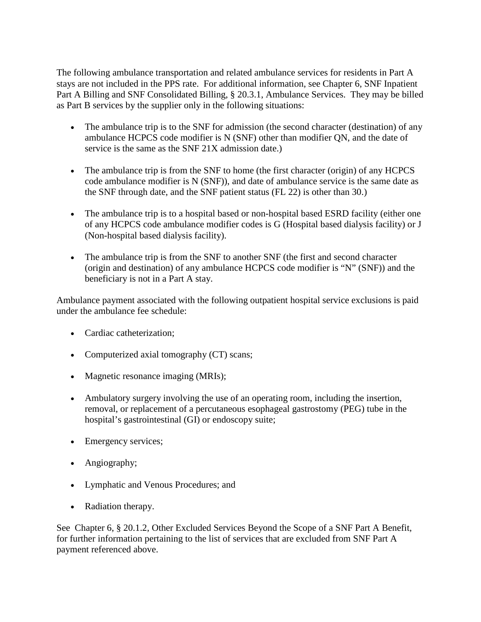The following ambulance transportation and related ambulance services for residents in Part A stays are not included in the PPS rate. For additional information, see Chapter 6, SNF Inpatient Part A Billing and SNF Consolidated Billing, § 20.3.1, Ambulance Services. They may be billed as Part B services by the supplier only in the following situations:

- The ambulance trip is to the SNF for admission (the second character (destination) of any ambulance HCPCS code modifier is N (SNF) other than modifier QN, and the date of service is the same as the SNF 21X admission date.)
- The ambulance trip is from the SNF to home (the first character (origin) of any HCPCS code ambulance modifier is N (SNF)), and date of ambulance service is the same date as the SNF through date, and the SNF patient status (FL 22) is other than 30.)
- The ambulance trip is to a hospital based or non-hospital based ESRD facility (either one of any HCPCS code ambulance modifier codes is G (Hospital based dialysis facility) or J (Non-hospital based dialysis facility).
- The ambulance trip is from the SNF to another SNF (the first and second character (origin and destination) of any ambulance HCPCS code modifier is "N" (SNF)) and the beneficiary is not in a Part A stay.

Ambulance payment associated with the following outpatient hospital service exclusions is paid under the ambulance fee schedule:

- Cardiac catheterization;
- Computerized axial tomography (CT) scans;
- Magnetic resonance imaging (MRIs);
- Ambulatory surgery involving the use of an operating room, including the insertion, removal, or replacement of a percutaneous esophageal gastrostomy (PEG) tube in the hospital's gastrointestinal (GI) or endoscopy suite;
- Emergency services;
- Angiography;
- Lymphatic and Venous Procedures; and
- Radiation therapy.

See Chapter 6, § 20.1.2, Other Excluded Services Beyond the Scope of a SNF Part A Benefit, for further information pertaining to the list of services that are excluded from SNF Part A payment referenced above.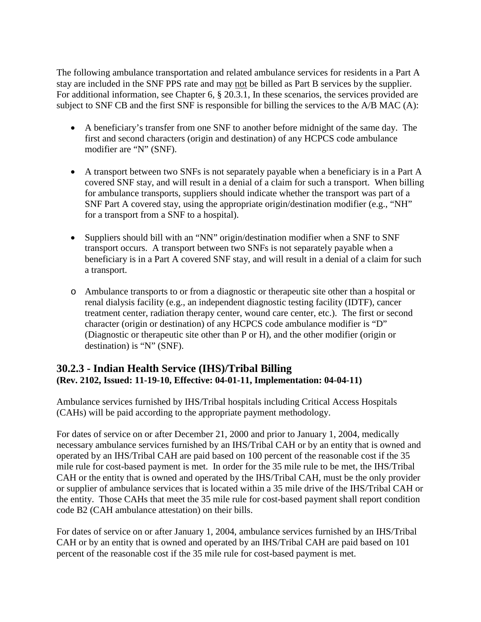The following ambulance transportation and related ambulance services for residents in a Part A stay are included in the SNF PPS rate and may not be billed as Part B services by the supplier. For additional information, see Chapter 6, § 20.3.1, In these scenarios, the services provided are subject to SNF CB and the first SNF is responsible for billing the services to the A/B MAC (A):

- A beneficiary's transfer from one SNF to another before midnight of the same day. The first and second characters (origin and destination) of any HCPCS code ambulance modifier are "N" (SNF).
- A transport between two SNFs is not separately payable when a beneficiary is in a Part A covered SNF stay, and will result in a denial of a claim for such a transport. When billing for ambulance transports, suppliers should indicate whether the transport was part of a SNF Part A covered stay, using the appropriate origin/destination modifier (e.g., "NH" for a transport from a SNF to a hospital).
- Suppliers should bill with an "NN" origin/destination modifier when a SNF to SNF transport occurs. A transport between two SNFs is not separately payable when a beneficiary is in a Part A covered SNF stay, and will result in a denial of a claim for such a transport.
- o Ambulance transports to or from a diagnostic or therapeutic site other than a hospital or renal dialysis facility (e.g., an independent diagnostic testing facility (IDTF), cancer treatment center, radiation therapy center, wound care center, etc.). The first or second character (origin or destination) of any HCPCS code ambulance modifier is "D" (Diagnostic or therapeutic site other than P or H), and the other modifier (origin or destination) is "N" (SNF).

# <span id="page-40-0"></span>**30.2.3 - Indian Health Service (IHS)/Tribal Billing (Rev. 2102, Issued: 11-19-10, Effective: 04-01-11, Implementation: 04-04-11)**

Ambulance services furnished by IHS/Tribal hospitals including Critical Access Hospitals (CAHs) will be paid according to the appropriate payment methodology.

For dates of service on or after December 21, 2000 and prior to January 1, 2004, medically necessary ambulance services furnished by an IHS/Tribal CAH or by an entity that is owned and operated by an IHS/Tribal CAH are paid based on 100 percent of the reasonable cost if the 35 mile rule for cost-based payment is met. In order for the 35 mile rule to be met, the IHS/Tribal CAH or the entity that is owned and operated by the IHS/Tribal CAH, must be the only provider or supplier of ambulance services that is located within a 35 mile drive of the IHS/Tribal CAH or the entity. Those CAHs that meet the 35 mile rule for cost-based payment shall report condition code B2 (CAH ambulance attestation) on their bills.

For dates of service on or after January 1, 2004, ambulance services furnished by an IHS/Tribal CAH or by an entity that is owned and operated by an IHS/Tribal CAH are paid based on 101 percent of the reasonable cost if the 35 mile rule for cost-based payment is met.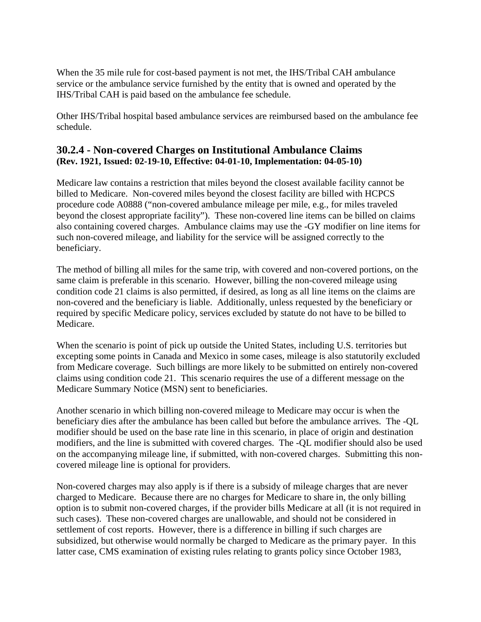When the 35 mile rule for cost-based payment is not met, the IHS/Tribal CAH ambulance service or the ambulance service furnished by the entity that is owned and operated by the IHS/Tribal CAH is paid based on the ambulance fee schedule.

Other IHS/Tribal hospital based ambulance services are reimbursed based on the ambulance fee schedule.

# <span id="page-41-0"></span>**30.2.4 - Non-covered Charges on Institutional Ambulance Claims (Rev. 1921, Issued: 02-19-10, Effective: 04-01-10, Implementation: 04-05-10)**

Medicare law contains a restriction that miles beyond the closest available facility cannot be billed to Medicare. Non-covered miles beyond the closest facility are billed with HCPCS procedure code A0888 ("non-covered ambulance mileage per mile, e.g., for miles traveled beyond the closest appropriate facility"). These non-covered line items can be billed on claims also containing covered charges. Ambulance claims may use the -GY modifier on line items for such non-covered mileage, and liability for the service will be assigned correctly to the beneficiary.

The method of billing all miles for the same trip, with covered and non-covered portions, on the same claim is preferable in this scenario. However, billing the non-covered mileage using condition code 21 claims is also permitted, if desired, as long as all line items on the claims are non-covered and the beneficiary is liable. Additionally, unless requested by the beneficiary or required by specific Medicare policy, services excluded by statute do not have to be billed to Medicare.

When the scenario is point of pick up outside the United States, including U.S. territories but excepting some points in Canada and Mexico in some cases, mileage is also statutorily excluded from Medicare coverage. Such billings are more likely to be submitted on entirely non-covered claims using condition code 21. This scenario requires the use of a different message on the Medicare Summary Notice (MSN) sent to beneficiaries.

Another scenario in which billing non-covered mileage to Medicare may occur is when the beneficiary dies after the ambulance has been called but before the ambulance arrives. The -QL modifier should be used on the base rate line in this scenario, in place of origin and destination modifiers, and the line is submitted with covered charges. The -QL modifier should also be used on the accompanying mileage line, if submitted, with non-covered charges. Submitting this noncovered mileage line is optional for providers.

Non-covered charges may also apply is if there is a subsidy of mileage charges that are never charged to Medicare. Because there are no charges for Medicare to share in, the only billing option is to submit non-covered charges, if the provider bills Medicare at all (it is not required in such cases). These non-covered charges are unallowable, and should not be considered in settlement of cost reports. However, there is a difference in billing if such charges are subsidized, but otherwise would normally be charged to Medicare as the primary payer. In this latter case, CMS examination of existing rules relating to grants policy since October 1983,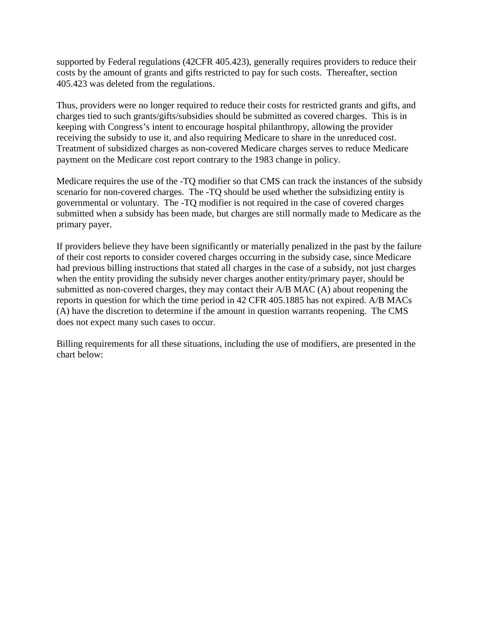supported by Federal regulations (42CFR 405.423), generally requires providers to reduce their costs by the amount of grants and gifts restricted to pay for such costs. Thereafter, section 405.423 was deleted from the regulations.

Thus, providers were no longer required to reduce their costs for restricted grants and gifts, and charges tied to such grants/gifts/subsidies should be submitted as covered charges. This is in keeping with Congress's intent to encourage hospital philanthropy, allowing the provider receiving the subsidy to use it, and also requiring Medicare to share in the unreduced cost. Treatment of subsidized charges as non-covered Medicare charges serves to reduce Medicare payment on the Medicare cost report contrary to the 1983 change in policy.

Medicare requires the use of the -TQ modifier so that CMS can track the instances of the subsidy scenario for non-covered charges. The -TQ should be used whether the subsidizing entity is governmental or voluntary. The -TQ modifier is not required in the case of covered charges submitted when a subsidy has been made, but charges are still normally made to Medicare as the primary payer.

If providers believe they have been significantly or materially penalized in the past by the failure of their cost reports to consider covered charges occurring in the subsidy case, since Medicare had previous billing instructions that stated all charges in the case of a subsidy, not just charges when the entity providing the subsidy never charges another entity/primary payer, should be submitted as non-covered charges, they may contact their A/B MAC (A) about reopening the reports in question for which the time period in 42 CFR 405.1885 has not expired. A/B MACs (A) have the discretion to determine if the amount in question warrants reopening. The CMS does not expect many such cases to occur.

Billing requirements for all these situations, including the use of modifiers, are presented in the chart below: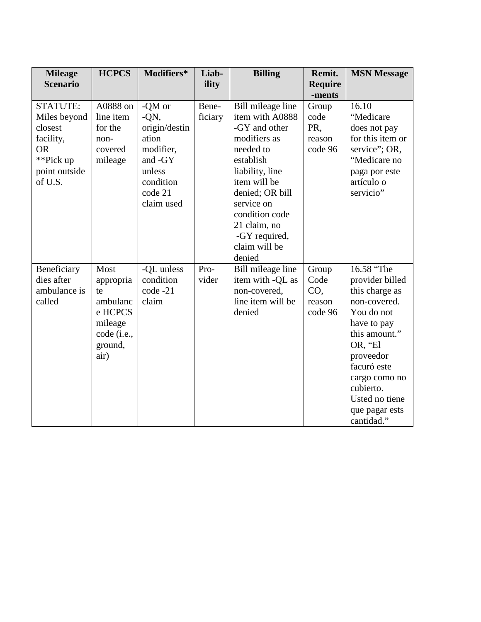| <b>Mileage</b><br><b>Scenario</b>                                                                             | <b>HCPCS</b>                                                                                | Modifiers*                                                                                                          | Liab-<br>ility   | <b>Billing</b>                                                                                                                                                                                                                                    | Remit.<br><b>Require</b><br>-ments        | <b>MSN Message</b>                                                                                                                                                                                                                   |
|---------------------------------------------------------------------------------------------------------------|---------------------------------------------------------------------------------------------|---------------------------------------------------------------------------------------------------------------------|------------------|---------------------------------------------------------------------------------------------------------------------------------------------------------------------------------------------------------------------------------------------------|-------------------------------------------|--------------------------------------------------------------------------------------------------------------------------------------------------------------------------------------------------------------------------------------|
| <b>STATUTE:</b><br>Miles beyond<br>closest<br>facility,<br><b>OR</b><br>**Pick up<br>point outside<br>of U.S. | A0888 on<br>line item<br>for the<br>non-<br>covered<br>mileage                              | -QM or<br>$-QN$ ,<br>origin/destin<br>ation<br>modifier,<br>and -GY<br>unless<br>condition<br>code 21<br>claim used | Bene-<br>ficiary | Bill mileage line<br>item with A0888<br>-GY and other<br>modifiers as<br>needed to<br>establish<br>liability, line<br>item will be<br>denied; OR bill<br>service on<br>condition code<br>21 claim, no<br>-GY required,<br>claim will be<br>denied | Group<br>code<br>PR,<br>reason<br>code 96 | 16.10<br>"Medicare<br>does not pay<br>for this item or<br>service"; OR,<br>"Medicare no<br>paga por este<br>artículo o<br>servicio"                                                                                                  |
| Beneficiary<br>dies after<br>ambulance is<br>called                                                           | Most<br>appropria<br>te<br>ambulanc<br>e HCPCS<br>mileage<br>code (i.e.,<br>ground,<br>air) | -QL unless<br>condition<br>code -21<br>claim                                                                        | Pro-<br>vider    | Bill mileage line<br>item with -QL as<br>non-covered,<br>line item will be<br>denied                                                                                                                                                              | Group<br>Code<br>CO,<br>reason<br>code 96 | 16.58 "The<br>provider billed<br>this charge as<br>non-covered.<br>You do not<br>have to pay<br>this amount."<br>OR, "El<br>proveedor<br>facuró este<br>cargo como no<br>cubierto.<br>Usted no tiene<br>que pagar ests<br>cantidad." |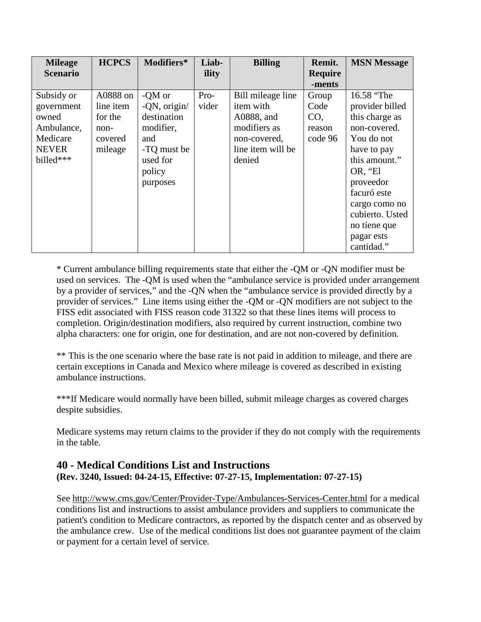| <b>Mileage</b>  | <b>HCPCS</b> | Modifiers*   | Liab- | <b>Billing</b>    | Remit.         | <b>MSN Message</b> |
|-----------------|--------------|--------------|-------|-------------------|----------------|--------------------|
| <b>Scenario</b> |              |              | ility |                   | <b>Require</b> |                    |
|                 |              |              |       |                   | -ments         |                    |
| Subsidy or      | A0888 on     | -QM or       | Pro-  | Bill mileage line | Group          | 16.58 "The         |
| government      | line item    | -QN, origin/ | vider | item with         | Code           | provider billed    |
| owned           | for the      | destination  |       | A0888, and        | CO.            | this charge as     |
| Ambulance,      | non-         | modifier,    |       | modifiers as      | reason         | non-covered.       |
| Medicare        | covered      | and          |       | non-covered,      | code 96        | You do not         |
| <b>NEVER</b>    | mileage      | -TQ must be  |       | line item will be |                | have to pay        |
| billed***       |              | used for     |       | denied            |                | this amount."      |
|                 |              | policy       |       |                   |                | OR, "El            |
|                 |              | purposes     |       |                   |                | proveedor          |
|                 |              |              |       |                   |                | facuró este        |
|                 |              |              |       |                   |                | cargo como no      |
|                 |              |              |       |                   |                | cubierto. Usted    |
|                 |              |              |       |                   |                | no tiene que       |
|                 |              |              |       |                   |                | pagar ests         |
|                 |              |              |       |                   |                | cantidad."         |

\* Current ambulance billing requirements state that either the -QM or -QN modifier must be used on services. The -QM is used when the "ambulance service is provided under arrangement by a provider of services," and the -QN when the "ambulance service is provided directly by a provider of services." Line items using either the -QM or -QN modifiers are not subject to the FISS edit associated with FISS reason code 31322 so that these lines items will process to completion. Origin/destination modifiers, also required by current instruction, combine two alpha characters: one for origin, one for destination, and are not non-covered by definition.

\*\* This is the one scenario where the base rate is not paid in addition to mileage, and there are certain exceptions in Canada and Mexico where mileage is covered as described in existing ambulance instructions.

\*\*\*If Medicare would normally have been billed, submit mileage charges as covered charges despite subsidies.

Medicare systems may return claims to the provider if they do not comply with the requirements in the table.

# <span id="page-44-0"></span>**40 - Medical Conditions List and Instructions (Rev. 3240, Issued: 04-24-15, Effective: 07-27-15, Implementation: 07-27-15)**

See<http://www.cms.gov/Center/Provider-Type/Ambulances-Services-Center.html> for a medical conditions list and instructions to assist ambulance providers and suppliers to communicate the patient's condition to Medicare contractors, as reported by the dispatch center and as observed by the ambulance crew. Use of the medical conditions list does not guarantee payment of the claim or payment for a certain level of service.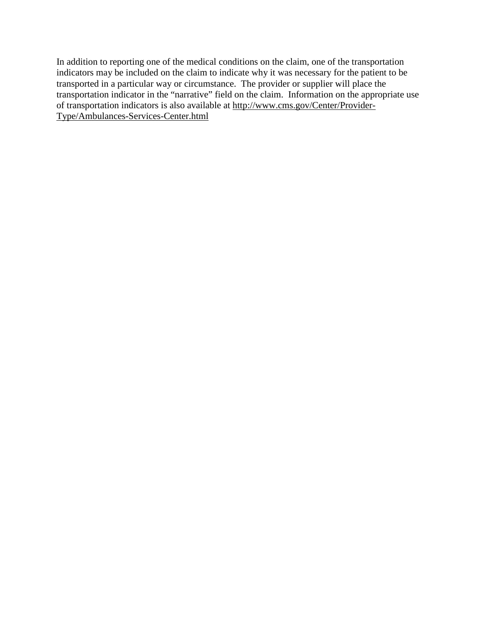In addition to reporting one of the medical conditions on the claim, one of the transportation indicators may be included on the claim to indicate why it was necessary for the patient to be transported in a particular way or circumstance. The provider or supplier will place the transportation indicator in the "narrative" field on the claim. Information on the appropriate use of transportation indicators is also available at [http://www.cms.gov/Center/Provider-](http://www.cms.gov/Center/Provider-Type/Ambulances-Services-Center.html)[Type/Ambulances-Services-Center.html](http://www.cms.gov/Center/Provider-Type/Ambulances-Services-Center.html)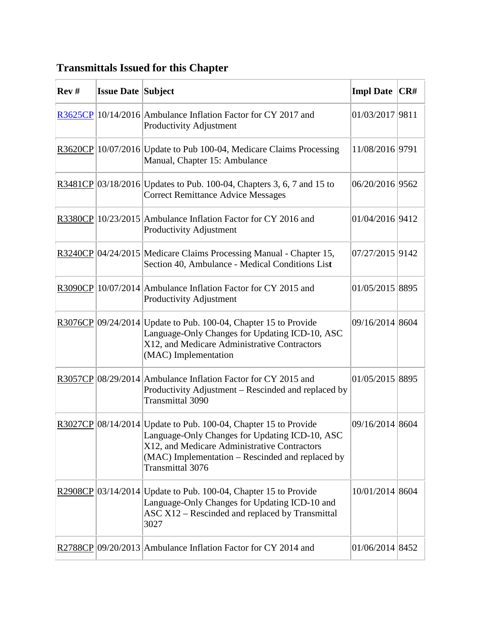# <span id="page-46-0"></span>**Transmittals Issued for this Chapter**

| Rev# | <b>Issue Date Subject</b> |                                                                                                                                                                                                                                             | Impl Date   CR# |  |
|------|---------------------------|---------------------------------------------------------------------------------------------------------------------------------------------------------------------------------------------------------------------------------------------|-----------------|--|
|      |                           | R3625CP 10/14/2016 Ambulance Inflation Factor for CY 2017 and<br>Productivity Adjustment                                                                                                                                                    | 01/03/2017 9811 |  |
|      |                           | R3620CP 10/07/2016 Update to Pub 100-04, Medicare Claims Processing<br>Manual, Chapter 15: Ambulance                                                                                                                                        | 11/08/2016 9791 |  |
|      |                           | R3481CP $ 03/18/2016 $ Updates to Pub. 100-04, Chapters 3, 6, 7 and 15 to<br><b>Correct Remittance Advice Messages</b>                                                                                                                      | 06/20/2016 9562 |  |
|      |                           | R3380CP 10/23/2015 Ambulance Inflation Factor for CY 2016 and<br>Productivity Adjustment                                                                                                                                                    | 01/04/2016 9412 |  |
|      |                           | R3240CP 04/24/2015 Medicare Claims Processing Manual - Chapter 15,<br>Section 40, Ambulance - Medical Conditions List                                                                                                                       | 07/27/2015 9142 |  |
|      |                           | R3090CP 10/07/2014 Ambulance Inflation Factor for CY 2015 and<br>Productivity Adjustment                                                                                                                                                    | 01/05/2015 8895 |  |
|      |                           | R3076CP 09/24/2014 Update to Pub. 100-04, Chapter 15 to Provide<br>Language-Only Changes for Updating ICD-10, ASC<br>X12, and Medicare Administrative Contractors<br>(MAC) Implementation                                                   | 09/16/2014 8604 |  |
|      |                           | R3057CP 08/29/2014 Ambulance Inflation Factor for CY 2015 and<br>Productivity Adjustment – Rescinded and replaced by<br>Transmittal 3090                                                                                                    | 01/05/2015 8895 |  |
|      |                           | $R3027CP$ 08/14/2014 Update to Pub. 100-04, Chapter 15 to Provide<br>Language-Only Changes for Updating ICD-10, ASC<br>X12, and Medicare Administrative Contractors<br>(MAC) Implementation – Rescinded and replaced by<br>Transmittal 3076 | 09/16/2014 8604 |  |
|      |                           | $R2908CP$ 03/14/2014 Update to Pub. 100-04, Chapter 15 to Provide<br>Language-Only Changes for Updating ICD-10 and<br>ASC X12 – Rescinded and replaced by Transmittal<br>3027                                                               | 10/01/2014 8604 |  |
|      |                           | R2788CP 09/20/2013 Ambulance Inflation Factor for CY 2014 and                                                                                                                                                                               | 01/06/2014 8452 |  |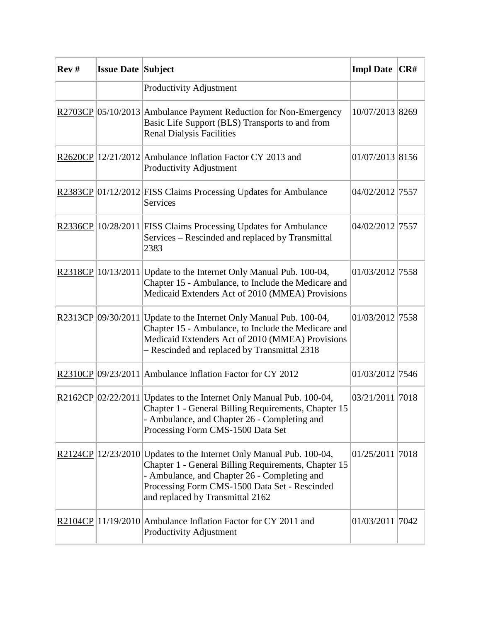| Rev# | <b>Issue Date Subject</b> |                                                                                                                                                                                                                                                                            | Impl Date   CR# |  |
|------|---------------------------|----------------------------------------------------------------------------------------------------------------------------------------------------------------------------------------------------------------------------------------------------------------------------|-----------------|--|
|      |                           | Productivity Adjustment                                                                                                                                                                                                                                                    |                 |  |
|      |                           | R2703CP 05/10/2013 Ambulance Payment Reduction for Non-Emergency<br>Basic Life Support (BLS) Transports to and from<br><b>Renal Dialysis Facilities</b>                                                                                                                    | 10/07/2013 8269 |  |
|      |                           | R2620CP 12/21/2012 Ambulance Inflation Factor CY 2013 and<br>Productivity Adjustment                                                                                                                                                                                       | 01/07/2013 8156 |  |
|      |                           | R2383CP 01/12/2012 FISS Claims Processing Updates for Ambulance<br><b>Services</b>                                                                                                                                                                                         | 04/02/2012 7557 |  |
|      |                           | R2336CP 10/28/2011 FISS Claims Processing Updates for Ambulance<br>Services – Rescinded and replaced by Transmittal<br>2383                                                                                                                                                | 04/02/2012 7557 |  |
|      |                           | R2318CP 10/13/2011 Update to the Internet Only Manual Pub. 100-04,<br>Chapter 15 - Ambulance, to Include the Medicare and<br>Medicaid Extenders Act of 2010 (MMEA) Provisions                                                                                              | 01/03/2012 7558 |  |
|      |                           | R2313CP 09/30/2011 Update to the Internet Only Manual Pub. 100-04,<br>Chapter 15 - Ambulance, to Include the Medicare and<br>Medicaid Extenders Act of 2010 (MMEA) Provisions<br>- Rescinded and replaced by Transmittal 2318                                              | 01/03/2012 7558 |  |
|      |                           | R2310CP 09/23/2011 Ambulance Inflation Factor for CY 2012                                                                                                                                                                                                                  | 01/03/2012 7546 |  |
|      |                           | $R2162CP$ 02/22/2011 Updates to the Internet Only Manual Pub. 100-04,<br>Chapter 1 - General Billing Requirements, Chapter 15<br>- Ambulance, and Chapter 26 - Completing and<br>Processing Form CMS-1500 Data Set                                                         | 03/21/2011 7018 |  |
|      |                           | $\frac{R2124CP}{12/23/2010}$ Updates to the Internet Only Manual Pub. 100-04,<br>Chapter 1 - General Billing Requirements, Chapter 15<br>- Ambulance, and Chapter 26 - Completing and<br>Processing Form CMS-1500 Data Set - Rescinded<br>and replaced by Transmittal 2162 | 01/25/2011 7018 |  |
|      |                           | R2104CP 11/19/2010 Ambulance Inflation Factor for CY 2011 and<br>Productivity Adjustment                                                                                                                                                                                   | 01/03/2011 7042 |  |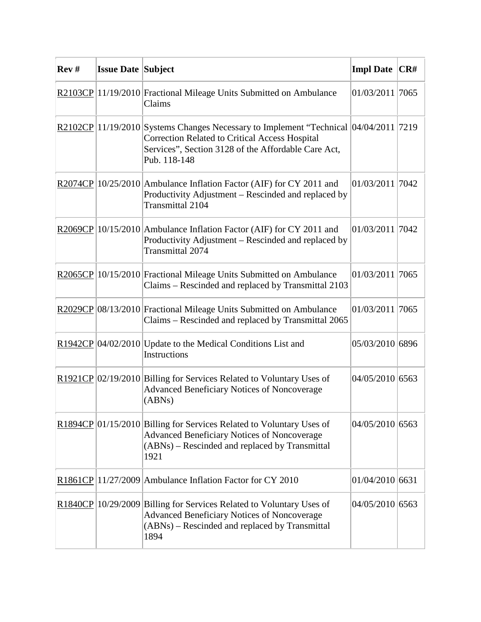| Rev# | <b>Issue Date Subject</b> |                                                                                                                                                                                                                      | Impl Date   CR# |  |
|------|---------------------------|----------------------------------------------------------------------------------------------------------------------------------------------------------------------------------------------------------------------|-----------------|--|
|      |                           | R2103CP 11/19/2010 Fractional Mileage Units Submitted on Ambulance<br>Claims                                                                                                                                         | 01/03/2011 7065 |  |
|      |                           | R2102CP 11/19/2010 Systems Changes Necessary to Implement "Technical 04/04/2011 7219<br><b>Correction Related to Critical Access Hospital</b><br>Services", Section 3128 of the Affordable Care Act,<br>Pub. 118-148 |                 |  |
|      |                           | R2074CP 10/25/2010 Ambulance Inflation Factor (AIF) for CY 2011 and<br>Productivity Adjustment - Rescinded and replaced by<br><b>Transmittal 2104</b>                                                                | 01/03/2011 7042 |  |
|      |                           | R2069CP $ 10/15/2010 $ Ambulance Inflation Factor (AIF) for CY 2011 and<br>Productivity Adjustment - Rescinded and replaced by<br><b>Transmittal 2074</b>                                                            | 01/03/2011 7042 |  |
|      |                           | R2065CP 10/15/2010 Fractional Mileage Units Submitted on Ambulance<br>Claims – Rescinded and replaced by Transmittal 2103                                                                                            | 01/03/2011 7065 |  |
|      |                           | R2029CP 08/13/2010 Fractional Mileage Units Submitted on Ambulance<br>Claims – Rescinded and replaced by Transmittal 2065                                                                                            | 01/03/2011 7065 |  |
|      |                           | R1942CP 04/02/2010 Update to the Medical Conditions List and<br>Instructions                                                                                                                                         | 05/03/2010 6896 |  |
|      |                           | R1921CP 02/19/2010 Billing for Services Related to Voluntary Uses of<br><b>Advanced Beneficiary Notices of Noncoverage</b><br>(ABNs)                                                                                 | 04/05/2010 6563 |  |
|      |                           | R1894CP 01/15/2010 Billing for Services Related to Voluntary Uses of<br><b>Advanced Beneficiary Notices of Noncoverage</b><br>(ABNs) – Rescinded and replaced by Transmittal<br>1921                                 | 04/05/2010 6563 |  |
|      |                           | R1861CP 11/27/2009 Ambulance Inflation Factor for CY 2010                                                                                                                                                            | 01/04/2010 6631 |  |
|      |                           | $R1840CP$ 10/29/2009 Billing for Services Related to Voluntary Uses of<br><b>Advanced Beneficiary Notices of Noncoverage</b><br>(ABNs) – Rescinded and replaced by Transmittal<br>1894                               | 04/05/2010 6563 |  |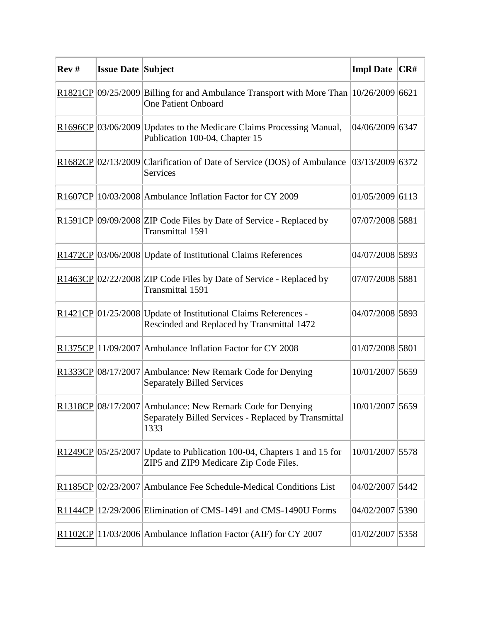| Rev# | <b>Issue Date Subject</b> |                                                                                                                           | Impl Date   CR# |  |
|------|---------------------------|---------------------------------------------------------------------------------------------------------------------------|-----------------|--|
|      |                           | R1821CP 09/25/2009 Billing for and Ambulance Transport with More Than $10/26/2009$ 6621<br><b>One Patient Onboard</b>     |                 |  |
|      |                           | R1696CP 03/06/2009 Updates to the Medicare Claims Processing Manual,<br>Publication 100-04, Chapter 15                    | 04/06/2009 6347 |  |
|      |                           | $\frac{R1682CP}{02/13/2009}$ Clarification of Date of Service (DOS) of Ambulance $ 03/13/2009 6372$<br>Services           |                 |  |
|      |                           | R1607CP 10/03/2008 Ambulance Inflation Factor for CY 2009                                                                 | 01/05/2009 6113 |  |
|      |                           | R1591CP 09/09/2008 ZIP Code Files by Date of Service - Replaced by<br>Transmittal 1591                                    | 07/07/2008 5881 |  |
|      |                           | R1472CP 03/06/2008 Update of Institutional Claims References                                                              | 04/07/2008 5893 |  |
|      |                           | R1463CP 02/22/2008 ZIP Code Files by Date of Service - Replaced by<br>Transmittal 1591                                    | 07/07/2008 5881 |  |
|      |                           | R1421CP 01/25/2008 Update of Institutional Claims References -<br>Rescinded and Replaced by Transmittal 1472              | 04/07/2008 5893 |  |
|      |                           | R1375CP 11/09/2007 Ambulance Inflation Factor for CY 2008                                                                 | 01/07/2008 5801 |  |
|      |                           | R1333CP 08/17/2007 Ambulance: New Remark Code for Denying<br><b>Separately Billed Services</b>                            | 10/01/2007 5659 |  |
|      |                           | R1318CP 08/17/2007 Ambulance: New Remark Code for Denying<br>Separately Billed Services - Replaced by Transmittal<br>1333 | 10/01/2007 5659 |  |
|      | R1249CP 05/25/2007        | Update to Publication 100-04, Chapters 1 and 15 for<br>ZIP5 and ZIP9 Medicare Zip Code Files.                             | 10/01/2007 5578 |  |
|      |                           | R1185CP 02/23/2007 Ambulance Fee Schedule-Medical Conditions List                                                         | 04/02/2007 5442 |  |
|      |                           | R1144CP 12/29/2006 Elimination of CMS-1491 and CMS-1490U Forms                                                            | 04/02/2007 5390 |  |
|      |                           | R1102CP 11/03/2006 Ambulance Inflation Factor (AIF) for CY 2007                                                           | 01/02/2007 5358 |  |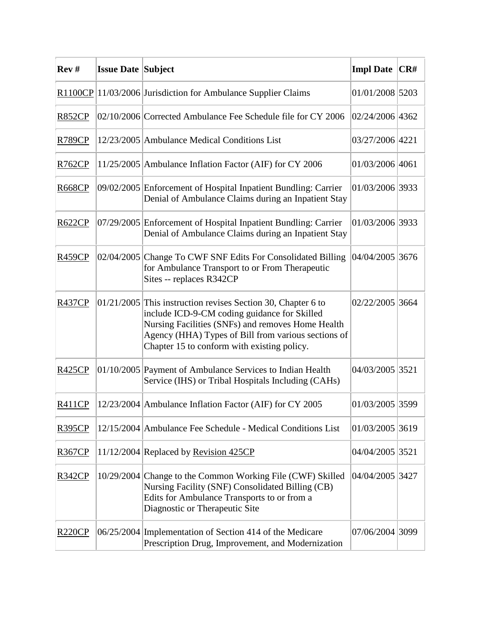| Rev#                | <b>Issue Date Subject</b> |                                                                                                                                                                                                                                                                         | Impl Date   CR# |  |
|---------------------|---------------------------|-------------------------------------------------------------------------------------------------------------------------------------------------------------------------------------------------------------------------------------------------------------------------|-----------------|--|
|                     |                           | R1100CP 11/03/2006 Jurisdiction for Ambulance Supplier Claims                                                                                                                                                                                                           | 01/01/2008 5203 |  |
| R852CP              |                           | 02/10/2006 Corrected Ambulance Fee Schedule file for CY 2006                                                                                                                                                                                                            | 02/24/2006 4362 |  |
| <b>R789CP</b>       |                           | 12/23/2005 Ambulance Medical Conditions List                                                                                                                                                                                                                            | 03/27/2006 4221 |  |
| <b>R762CP</b>       |                           | 11/25/2005 Ambulance Inflation Factor (AIF) for CY 2006                                                                                                                                                                                                                 | 01/03/2006 4061 |  |
| <b>R668CP</b>       |                           | 09/02/2005 Enforcement of Hospital Inpatient Bundling: Carrier<br>Denial of Ambulance Claims during an Inpatient Stay                                                                                                                                                   | 01/03/2006 3933 |  |
| R622CP              |                           | 07/29/2005 Enforcement of Hospital Inpatient Bundling: Carrier<br>Denial of Ambulance Claims during an Inpatient Stay                                                                                                                                                   | 01/03/2006 3933 |  |
| <b>R459CP</b>       |                           | 02/04/2005 Change To CWF SNF Edits For Consolidated Billing<br>for Ambulance Transport to or From Therapeutic<br>Sites -- replaces R342CP                                                                                                                               | 04/04/2005 3676 |  |
| <b>R437CP</b>       |                           | 01/21/2005 This instruction revises Section 30, Chapter 6 to<br>include ICD-9-CM coding guidance for Skilled<br>Nursing Facilities (SNFs) and removes Home Health<br>Agency (HHA) Types of Bill from various sections of<br>Chapter 15 to conform with existing policy. | 02/22/2005 3664 |  |
| <b>R425CP</b>       |                           | 01/10/2005 Payment of Ambulance Services to Indian Health<br>Service (IHS) or Tribal Hospitals Including (CAHs)                                                                                                                                                         | 04/03/2005 3521 |  |
| <b>R411CP</b>       |                           | 12/23/2004 Ambulance Inflation Factor (AIF) for CY 2005                                                                                                                                                                                                                 | 01/03/2005 3599 |  |
| <b>R395CP</b>       |                           | 12/15/2004 Ambulance Fee Schedule - Medical Conditions List                                                                                                                                                                                                             | 01/03/2005 3619 |  |
| <b>R367CP</b>       |                           | 11/12/2004 Replaced by Revision 425CP                                                                                                                                                                                                                                   | 04/04/2005 3521 |  |
| R342CP              |                           | 10/29/2004 Change to the Common Working File (CWF) Skilled<br>Nursing Facility (SNF) Consolidated Billing (CB)<br>Edits for Ambulance Transports to or from a<br>Diagnostic or Therapeutic Site                                                                         | 04/04/2005 3427 |  |
| R <sub>220</sub> CP |                           | 06/25/2004 Implementation of Section 414 of the Medicare<br>Prescription Drug, Improvement, and Modernization                                                                                                                                                           | 07/06/2004 3099 |  |